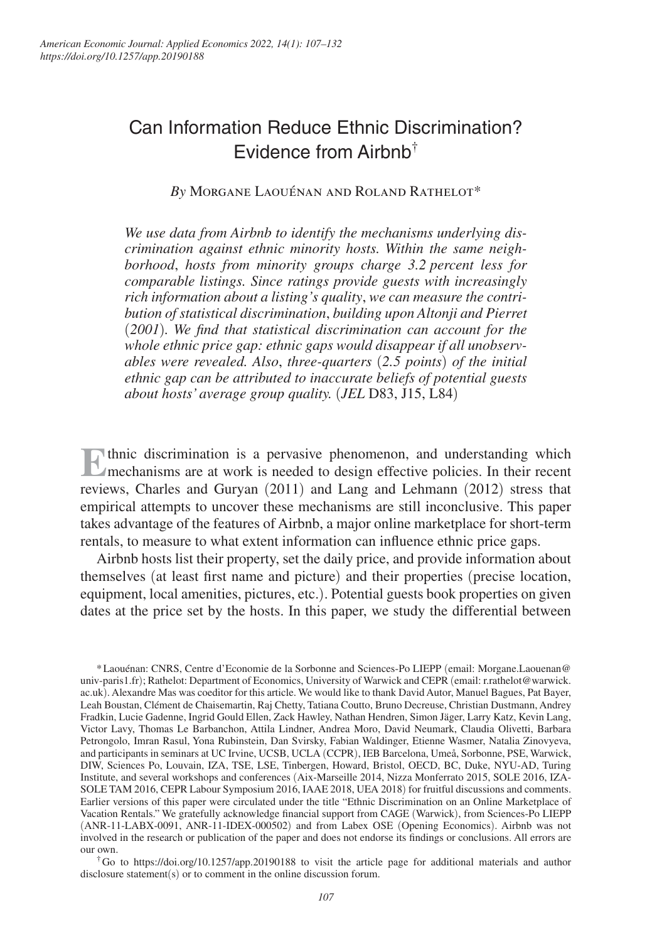# Can Information Reduce Ethnic Discrimination? Evidence from Airbnb†

*By* Morgane Laouénan and Roland Rathelot\*

*We use data from Airbnb to identify the mechanisms underlying discrimination against ethnic minority hosts. Within the same neighborhood*, *hosts from minority groups charge 3.2 percent less for comparable listings. Since ratings provide guests with increasingly rich information about a listing's quality*, *we can measure the contribution of statistical discrimination*, *building upon Altonji and Pierret*  (*2001*)*. We find that statistical discrimination can account for the whole ethnic price gap: ethnic gaps would disappear if all unobservables were revealed. Also*, *three-quarters* (*2.5 points*) *of the initial ethnic gap can be attributed to inaccurate beliefs of potential guests about hosts' average group quality.* (*JEL* D83, J15, L84)

**E** thnic discrimination is a pervasive phenomenon, and understanding which mechanisms are at work is needed to design effective policies. In their recent mechanisms are at work is needed to design effective policies. In their recent reviews, Charles and Guryan (2011) and Lang and Lehmann (2012) stress that empirical attempts to uncover these mechanisms are still inconclusive. This paper takes advantage of the features of Airbnb, a major online marketplace for short-term rentals, to measure to what extent information can influence ethnic price gaps.

Airbnb hosts list their property, set the daily price, and provide information about themselves (at least first name and picture) and their properties (precise location, equipment, local amenities, pictures, etc.). Potential guests book properties on given dates at the price set by the hosts. In this paper, we study the differential between

\* Laouénan: CNRS, Centre d'Economie de la Sorbonne and Sciences-Po LIEPP (email: Morgane.Laouenan@ univ-paris1.fr); Rathelot: Department of Economics, University of Warwick and CEPR (email: r.rathelot@warwick. ac.uk). Alexandre Mas was coeditor for this article. We would like to thank David Autor, Manuel Bagues, Pat Bayer, Leah Boustan, Clément de Chaisemartin, Raj Chetty, Tatiana Coutto, Bruno Decreuse, Christian Dustmann, Andrey Fradkin, Lucie Gadenne, Ingrid Gould Ellen, Zack Hawley, Nathan Hendren, Simon Jäger, Larry Katz, Kevin Lang, Victor Lavy, Thomas Le Barbanchon, Attila Lindner, Andrea Moro, David Neumark, Claudia Olivetti, Barbara Petrongolo, Imran Rasul, Yona Rubinstein, Dan Svirsky, Fabian Waldinger, Etienne Wasmer, Natalia Zinovyeva, and participants in seminars at UC Irvine, UCSB, UCLA (CCPR), IEB Barcelona, Umeå, Sorbonne, PSE, Warwick, DIW, Sciences Po, Louvain, IZA, TSE, LSE, Tinbergen, Howard, Bristol, OECD, BC, Duke, NYU-AD, Turing Institute, and several workshops and conferences (Aix-Marseille 2014, Nizza Monferrato 2015, SOLE 2016, IZA-SOLE TAM 2016, CEPR Labour Symposium 2016, IAAE 2018, UEA 2018) for fruitful discussions and comments. Earlier versions of this paper were circulated under the title "Ethnic Discrimination on an Online Marketplace of Vacation Rentals." We gratefully acknowledge financial support from CAGE (Warwick), from Sciences-Po LIEPP (ANR-11-LABX-0091, ANR-11-IDEX-000502) and from Labex OSE (Opening Economics). Airbnb was not involved in the research or publication of the paper and does not endorse its findings or conclusions. All errors are our own.

<sup>†</sup> Go to https://doi.org/10.1257/app.20190188 to visit the article page for additional materials and author disclosure statement(s) or to comment in the online discussion forum.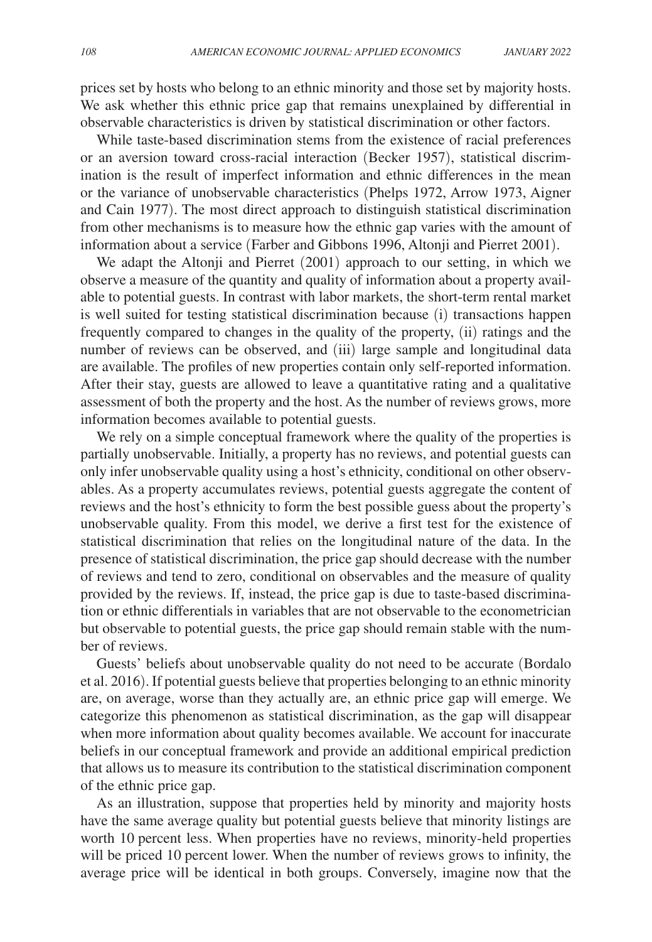prices set by hosts who belong to an ethnic minority and those set by majority hosts. We ask whether this ethnic price gap that remains unexplained by differential in observable characteristics is driven by statistical discrimination or other factors.

While taste-based discrimination stems from the existence of racial preferences or an aversion toward cross-racial interaction (Becker 1957), statistical discrimination is the result of imperfect information and ethnic differences in the mean or the variance of unobservable characteristics (Phelps 1972, Arrow 1973, Aigner and Cain 1977). The most direct approach to distinguish statistical discrimination from other mechanisms is to measure how the ethnic gap varies with the amount of information about a service (Farber and Gibbons 1996, Altonji and Pierret 2001).

We adapt the Altonji and Pierret (2001) approach to our setting, in which we observe a measure of the quantity and quality of information about a property available to potential guests. In contrast with labor markets, the short-term rental market is well suited for testing statistical discrimination because (i) transactions happen frequently compared to changes in the quality of the property, (ii) ratings and the number of reviews can be observed, and (iii) large sample and longitudinal data are available. The profiles of new properties contain only self-reported information. After their stay, guests are allowed to leave a quantitative rating and a qualitative assessment of both the property and the host. As the number of reviews grows, more information becomes available to potential guests.

We rely on a simple conceptual framework where the quality of the properties is partially unobservable. Initially, a property has no reviews, and potential guests can only infer unobservable quality using a host's ethnicity, conditional on other observables. As a property accumulates reviews, potential guests aggregate the content of reviews and the host's ethnicity to form the best possible guess about the property's unobservable quality. From this model, we derive a first test for the existence of statistical discrimination that relies on the longitudinal nature of the data. In the presence of statistical discrimination, the price gap should decrease with the number of reviews and tend to zero, conditional on observables and the measure of quality provided by the reviews. If, instead, the price gap is due to taste-based discrimination or ethnic differentials in variables that are not observable to the econometrician but observable to potential guests, the price gap should remain stable with the number of reviews.

Guests' beliefs about unobservable quality do not need to be accurate (Bordalo et al. 2016). If potential guests believe that properties belonging to an ethnic minority are, on average, worse than they actually are, an ethnic price gap will emerge. We categorize this phenomenon as statistical discrimination, as the gap will disappear when more information about quality becomes available. We account for inaccurate beliefs in our conceptual framework and provide an additional empirical prediction that allows us to measure its contribution to the statistical discrimination component of the ethnic price gap.

As an illustration, suppose that properties held by minority and majority hosts have the same average quality but potential guests believe that minority listings are worth 10 percent less. When properties have no reviews, minority-held properties will be priced 10 percent lower. When the number of reviews grows to infinity, the average price will be identical in both groups. Conversely, imagine now that the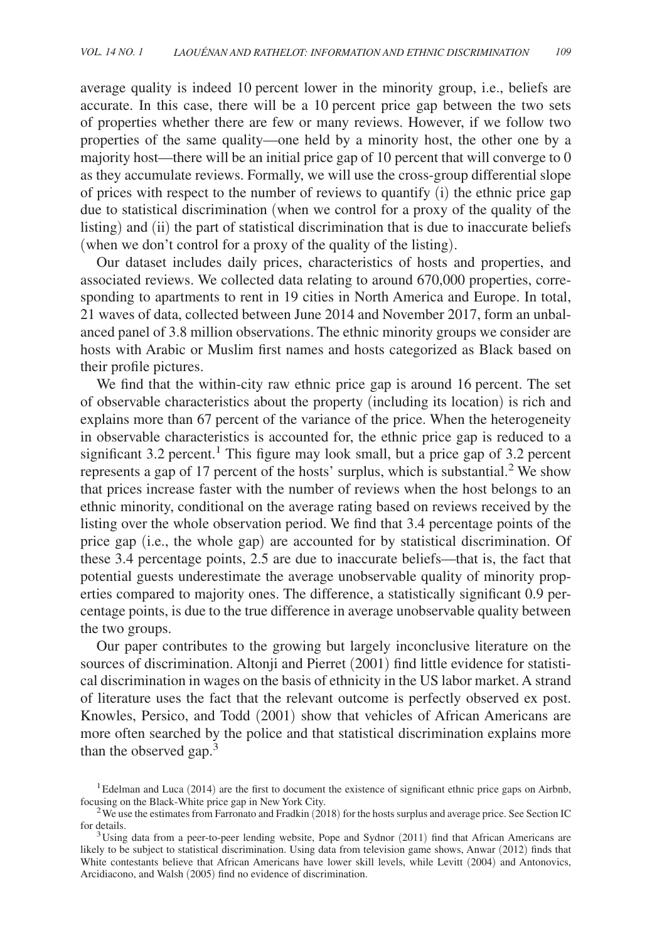average quality is indeed 10 percent lower in the minority group, i.e., beliefs are accurate. In this case, there will be a 10 percent price gap between the two sets of properties whether there are few or many reviews. However, if we follow two properties of the same quality—one held by a minority host, the other one by a majority host—there will be an initial price gap of 10 percent that will converge to 0 as they accumulate reviews. Formally, we will use the cross-group differential slope of prices with respect to the number of reviews to quantify (i) the ethnic price gap due to statistical discrimination (when we control for a proxy of the quality of the listing) and (ii) the part of statistical discrimination that is due to inaccurate beliefs (when we don't control for a proxy of the quality of the listing).

Our dataset includes daily prices, characteristics of hosts and properties, and associated reviews. We collected data relating to around 670,000 properties, corresponding to apartments to rent in 19 cities in North America and Europe. In total, 21 waves of data, collected between June 2014 and November 2017, form an unbalanced panel of 3.8 million observations. The ethnic minority groups we consider are hosts with Arabic or Muslim first names and hosts categorized as Black based on their profile pictures.

We find that the within-city raw ethnic price gap is around 16 percent. The set of observable characteristics about the property (including its location) is rich and explains more than 67 percent of the variance of the price. When the heterogeneity in observable characteristics is accounted for, the ethnic price gap is reduced to a significant  $3.2$  percent.<sup>1</sup> This figure may look small, but a price gap of  $3.2$  percent represents a gap of 17 percent of the hosts' surplus, which is substantial.<sup>2</sup> We show that prices increase faster with the number of reviews when the host belongs to an ethnic minority, conditional on the average rating based on reviews received by the listing over the whole observation period. We find that 3.4 percentage points of the price gap (i.e., the whole gap) are accounted for by statistical discrimination. Of these 3.4 percentage points, 2.5 are due to inaccurate beliefs—that is, the fact that potential guests underestimate the average unobservable quality of minority properties compared to majority ones. The difference, a statistically significant 0.9 percentage points, is due to the true difference in average unobservable quality between the two groups.

Our paper contributes to the growing but largely inconclusive literature on the sources of discrimination. Altonji and Pierret (2001) find little evidence for statistical discrimination in wages on the basis of ethnicity in the US labor market. A strand of literature uses the fact that the relevant outcome is perfectly observed ex post. Knowles, Persico, and Todd (2001) show that vehicles of African Americans are more often searched by the police and that statistical discrimination explains more than the observed gap.<sup>3</sup>

 $<sup>1</sup>$ Edelman and Luca (2014) are the first to document the existence of significant ethnic price gaps on Airbnb,</sup> focusing on the Black-White price gap in New York City.

<sup>&</sup>lt;sup>2</sup>We use the estimates from Farronato and Fradkin (2018) for the hosts surplus and average price. See Section IC for details.

<sup>&</sup>lt;sup>3</sup>Using data from a peer-to-peer lending website, Pope and Sydnor (2011) find that African Americans are likely to be subject to statistical discrimination. Using data from television game shows, Anwar (2012) finds that White contestants believe that African Americans have lower skill levels, while Levitt (2004) and Antonovics, Arcidiacono, and Walsh (2005) find no evidence of discrimination.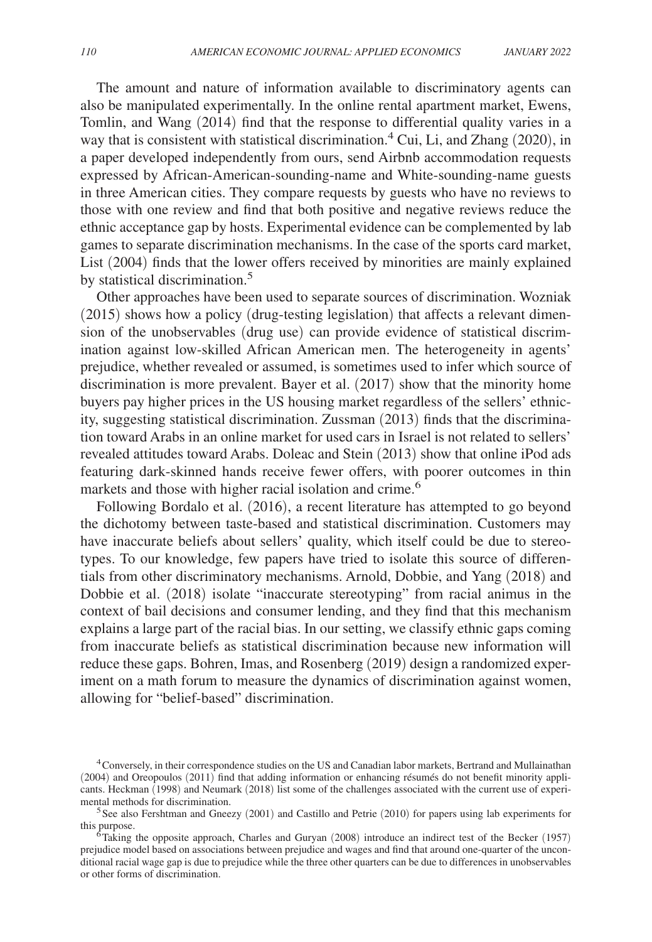The amount and nature of information available to discriminatory agents can also be manipulated experimentally. In the online rental apartment market, Ewens, Tomlin, and Wang (2014) find that the response to differential quality varies in a way that is consistent with statistical discrimination.<sup>4</sup> Cui, Li, and Zhang (2020), in a paper developed independently from ours, send Airbnb accommodation requests expressed by African-American-sounding-name and White-sounding-name guests in three American cities. They compare requests by guests who have no reviews to those with one review and find that both positive and negative reviews reduce the ethnic acceptance gap by hosts. Experimental evidence can be complemented by lab games to separate discrimination mechanisms. In the case of the sports card market, List (2004) finds that the lower offers received by minorities are mainly explained by statistical discrimination.<sup>5</sup>

Other approaches have been used to separate sources of discrimination. Wozniak (2015) shows how a policy ( drug-testing legislation) that affects a relevant dimension of the unobservables (drug use) can provide evidence of statistical discrimination against low-skilled African American men. The heterogeneity in agents' prejudice, whether revealed or assumed, is sometimes used to infer which source of discrimination is more prevalent. Bayer et al. (2017) show that the minority home buyers pay higher prices in the US housing market regardless of the sellers' ethnicity, suggesting statistical discrimination. Zussman (2013) finds that the discrimination toward Arabs in an online market for used cars in Israel is not related to sellers' revealed attitudes toward Arabs. Doleac and Stein (2013) show that online iPod ads featuring dark-skinned hands receive fewer offers, with poorer outcomes in thin markets and those with higher racial isolation and crime.<sup>6</sup>

Following Bordalo et al. (2016), a recent literature has attempted to go beyond the dichotomy between taste-based and statistical discrimination. Customers may have inaccurate beliefs about sellers' quality, which itself could be due to stereotypes. To our knowledge, few papers have tried to isolate this source of differentials from other discriminatory mechanisms. Arnold, Dobbie, and Yang (2018) and Dobbie et al. (2018) isolate "inaccurate stereotyping" from racial animus in the context of bail decisions and consumer lending, and they find that this mechanism explains a large part of the racial bias. In our setting, we classify ethnic gaps coming from inaccurate beliefs as statistical discrimination because new information will reduce these gaps. Bohren, Imas, and Rosenberg (2019) design a randomized experiment on a math forum to measure the dynamics of discrimination against women, allowing for "belief-based" discrimination.

<sup>4</sup>Conversely, in their correspondence studies on the US and Canadian labor markets, Bertrand and Mullainathan (2004) and Oreopoulos (2011) find that adding information or enhancing résumés do not benefit minority applicants. Heckman (1998) and Neumark (2018) list some of the challenges associated with the current use of experimental methods for discrimination.

 $5$ See also Fershtman and Gneezy (2001) and Castillo and Petrie (2010) for papers using lab experiments for this purpose.

 $6$ Taking the opposite approach, Charles and Guryan (2008) introduce an indirect test of the Becker (1957) prejudice model based on associations between prejudice and wages and find that around one-quarter of the unconditional racial wage gap is due to prejudice while the three other quarters can be due to differences in unobservables or other forms of discrimination.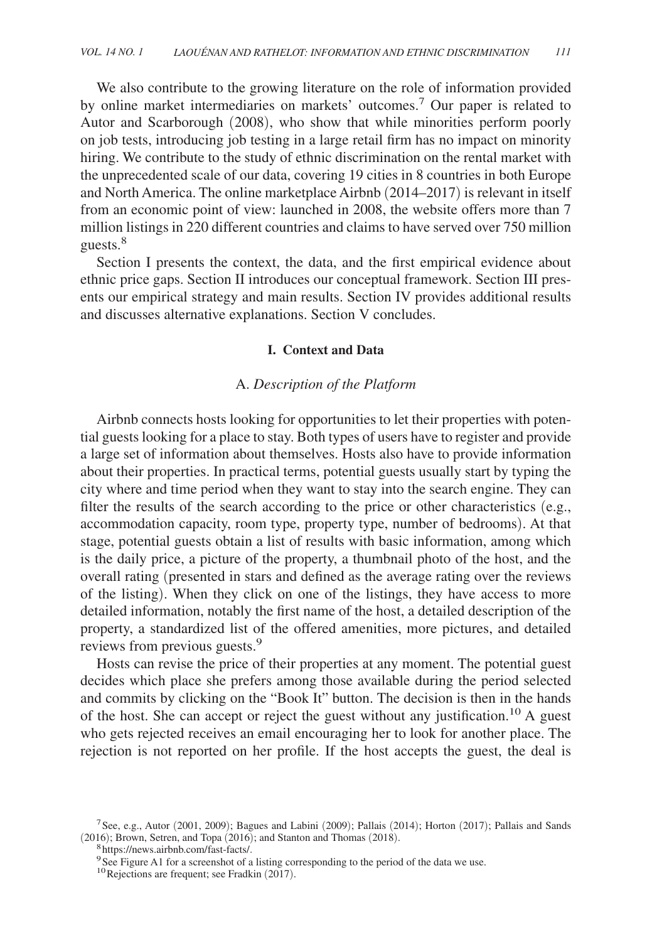We also contribute to the growing literature on the role of information provided by online market intermediaries on markets' outcomes.<sup>7</sup> Our paper is related to Autor and Scarborough (2008), who show that while minorities perform poorly on job tests, introducing job testing in a large retail firm has no impact on minority hiring. We contribute to the study of ethnic discrimination on the rental market with the unprecedented scale of our data, covering 19 cities in 8 countries in both Europe and North America. The online marketplace Airbnb ( 2014–2017) is relevant in itself from an economic point of view: launched in 2008, the website offers more than 7 million listings in 220 different countries and claims to have served over 750 million guests.<sup>8</sup>

Section I presents the context, the data, and the first empirical evidence about ethnic price gaps. Section II introduces our conceptual framework. Section III presents our empirical strategy and main results. Section IV provides additional results and discusses alternative explanations. Section V concludes.

## **I. Context and Data**

## A. *Description of the Platform*

Airbnb connects hosts looking for opportunities to let their properties with potential guests looking for a place to stay. Both types of users have to register and provide a large set of information about themselves. Hosts also have to provide information about their properties. In practical terms, potential guests usually start by typing the city where and time period when they want to stay into the search engine. They can filter the results of the search according to the price or other characteristics (e.g., accommodation capacity, room type, property type, number of bedrooms). At that stage, potential guests obtain a list of results with basic information, among which is the daily price, a picture of the property, a thumbnail photo of the host, and the overall rating (presented in stars and defined as the average rating over the reviews of the listing). When they click on one of the listings, they have access to more detailed information, notably the first name of the host, a detailed description of the property, a standardized list of the offered amenities, more pictures, and detailed reviews from previous guests.<sup>9</sup>

Hosts can revise the price of their properties at any moment. The potential guest decides which place she prefers among those available during the period selected and commits by clicking on the "Book It" button. The decision is then in the hands of the host. She can accept or reject the guest without any justification.10 A guest who gets rejected receives an email encouraging her to look for another place. The rejection is not reported on her profile. If the host accepts the guest, the deal is

<sup>&</sup>lt;sup>7</sup> See, e.g., Autor (2001, 2009); Bagues and Labini (2009); Pallais (2014); Horton (2017); Pallais and Sands (2016); Brown, Setren, and Topa (2016); and Stanton and Thomas (2018).

<sup>&</sup>lt;sup>8</sup>https://news.airbnb.com/fast-facts/.

<sup>&</sup>lt;sup>9</sup>See Figure A1 for a screenshot of a listing corresponding to the period of the data we use.

 $10$  Rejections are frequent; see Fradkin (2017).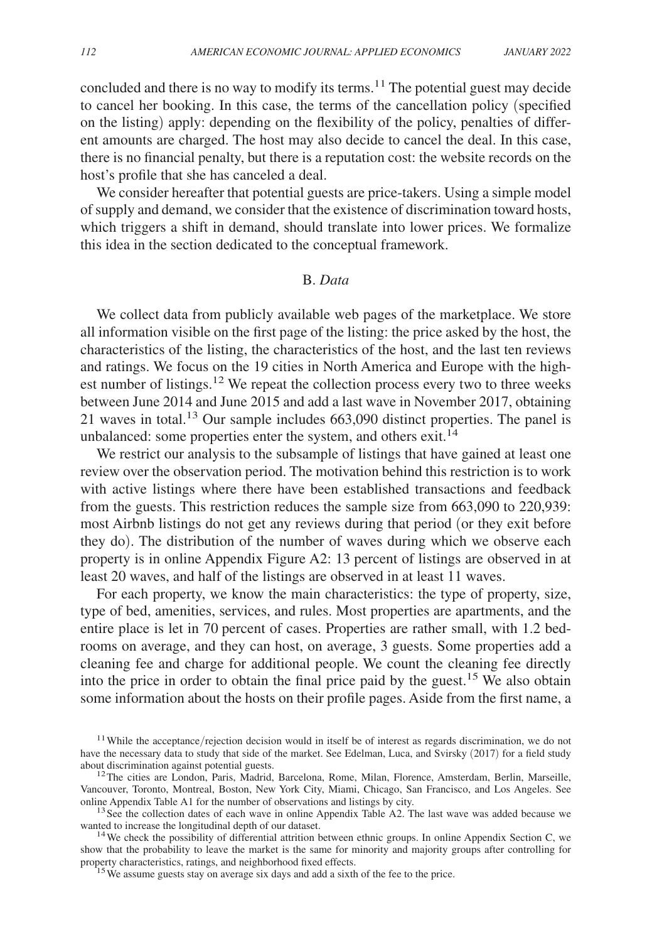concluded and there is no way to modify its terms.<sup>11</sup> The potential guest may decide to cancel her booking. In this case, the terms of the cancellation policy (specified on the listing) apply: depending on the flexibility of the policy, penalties of different amounts are charged. The host may also decide to cancel the deal. In this case, there is no financial penalty, but there is a reputation cost: the website records on the host's profile that she has canceled a deal.

We consider hereafter that potential guests are price-takers. Using a simple model of supply and demand, we consider that the existence of discrimination toward hosts, which triggers a shift in demand, should translate into lower prices. We formalize this idea in the section dedicated to the conceptual framework.

## B. *Data*

We collect data from publicly available web pages of the marketplace. We store all information visible on the first page of the listing: the price asked by the host, the characteristics of the listing, the characteristics of the host, and the last ten reviews and ratings. We focus on the 19 cities in North America and Europe with the highest number of listings.<sup>12</sup> We repeat the collection process every two to three weeks between June 2014 and June 2015 and add a last wave in November 2017, obtaining 21 waves in total.13 Our sample includes 663,090 distinct properties. The panel is unbalanced: some properties enter the system, and others exit.<sup>14</sup>

We restrict our analysis to the subsample of listings that have gained at least one review over the observation period. The motivation behind this restriction is to work with active listings where there have been established transactions and feedback from the guests. This restriction reduces the sample size from 663,090 to 220,939: most Airbnb listings do not get any reviews during that period (or they exit before they do). The distribution of the number of waves during which we observe each property is in online Appendix Figure A2: 13 percent of listings are observed in at least 20 waves, and half of the listings are observed in at least 11 waves.

For each property, we know the main characteristics: the type of property, size, type of bed, amenities, services, and rules. Most properties are apartments, and the entire place is let in 70 percent of cases. Properties are rather small, with 1.2 bedrooms on average, and they can host, on average, 3 guests. Some properties add a cleaning fee and charge for additional people. We count the cleaning fee directly into the price in order to obtain the final price paid by the guest.<sup>15</sup> We also obtain some information about the hosts on their profile pages. Aside from the first name, a

 $13$  See the collection dates of each wave in online Appendix Table A2. The last wave was added because we wanted to increase the longitudinal depth of our dataset.

<sup>14</sup> We check the possibility of differential attrition between ethnic groups. In online Appendix Section C, we show that the probability to leave the market is the same for minority and majority groups after controlling for property characteristics, ratings, and neighborhood fixed effects.

<sup>15</sup>We assume guests stay on average six days and add a sixth of the fee to the price.

<sup>&</sup>lt;sup>11</sup> While the acceptance/rejection decision would in itself be of interest as regards discrimination, we do not have the necessary data to study that side of the market. See Edelman, Luca, and Svirsky (2017) for a field study about discrimination against potential guests.

<sup>&</sup>lt;sup>12</sup>The cities are London, Paris, Madrid, Barcelona, Rome, Milan, Florence, Amsterdam, Berlin, Marseille, Vancouver, Toronto, Montreal, Boston, New York City, Miami, Chicago, San Francisco, and Los Angeles. See online Appendix Table A1 for the number of observations and listings by city.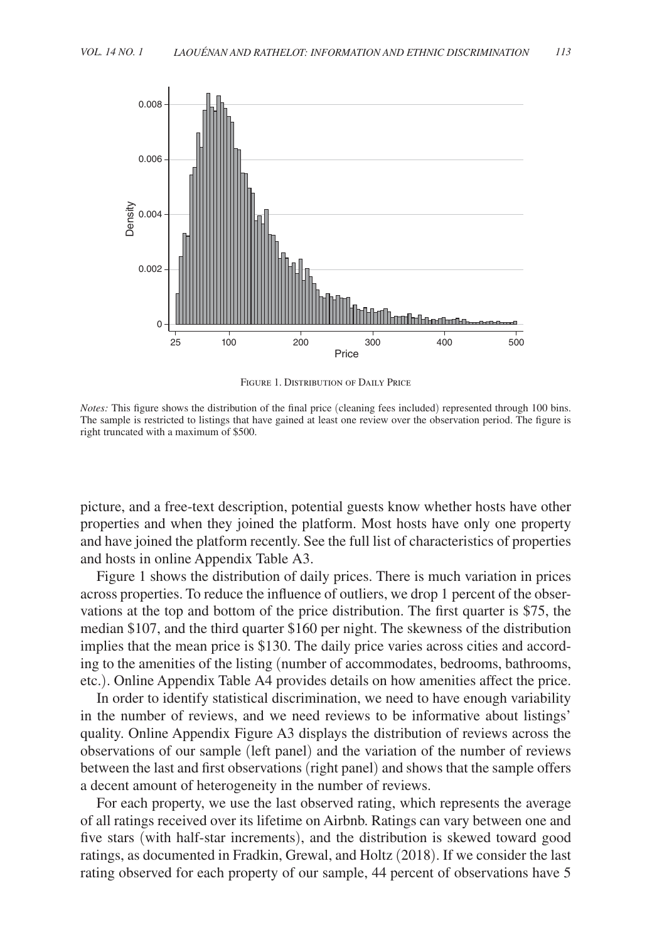

FIGURE 1. DISTRIBUTION OF DAILY PRICE

*Notes:* This figure shows the distribution of the final price (cleaning fees included) represented through 100 bins. The sample is restricted to listings that have gained at least one review over the observation period. The figure is right truncated with a maximum of \$500.

picture, and a free-text description, potential guests know whether hosts have other properties and when they joined the platform. Most hosts have only one property and have joined the platform recently. See the full list of characteristics of properties and hosts in online Appendix Table A3.

Figure 1 shows the distribution of daily prices. There is much variation in prices across properties. To reduce the influence of outliers, we drop 1 percent of the observations at the top and bottom of the price distribution. The first quarter is \$75, the median \$107, and the third quarter \$160 per night. The skewness of the distribution implies that the mean price is \$130. The daily price varies across cities and according to the amenities of the listing (number of accommodates, bedrooms, bathrooms, etc.). Online Appendix Table A4 provides details on how amenities affect the price.

In order to identify statistical discrimination, we need to have enough variability in the number of reviews, and we need reviews to be informative about listings' quality. Online Appendix Figure A3 displays the distribution of reviews across the observations of our sample (left panel) and the variation of the number of reviews between the last and first observations (right panel) and shows that the sample offers a decent amount of heterogeneity in the number of reviews.

For each property, we use the last observed rating, which represents the average of all ratings received over its lifetime on Airbnb. Ratings can vary between one and five stars (with half-star increments), and the distribution is skewed toward good ratings, as documented in Fradkin, Grewal, and Holtz (2018). If we consider the last rating observed for each property of our sample, 44 percent of observations have 5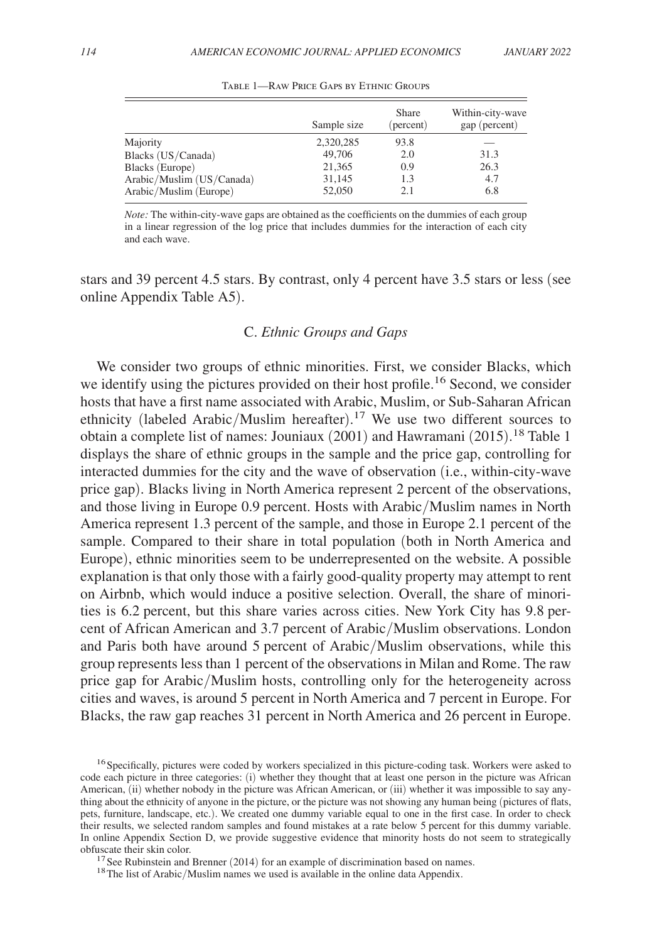|                           | Sample size | Share<br>(percent) | Within-city-wave<br>gap (percent) |
|---------------------------|-------------|--------------------|-----------------------------------|
| Majority                  | 2,320,285   | 93.8               |                                   |
| Blacks (US/Canada)        | 49,706      | 2.0                | 31.3                              |
| Blacks (Europe)           | 21,365      | 0.9                | 26.3                              |
| Arabic/Muslim (US/Canada) | 31,145      | 1.3                | 4.7                               |
| Arabic/Muslim (Europe)    | 52,050      | 2.1                | 6.8                               |

Table 1—Raw Price Gaps by Ethnic Groups

*Note:* The within-city-wave gaps are obtained as the coefficients on the dummies of each group in a linear regression of the log price that includes dummies for the interaction of each city and each wave.

stars and 39 percent 4.5 stars. By contrast, only 4 percent have 3.5 stars or less (see online Appendix Table A5).

## C. *Ethnic Groups and Gaps*

We consider two groups of ethnic minorities. First, we consider Blacks, which we identify using the pictures provided on their host profile.<sup>16</sup> Second, we consider hosts that have a first name associated with Arabic, Muslim, or Sub-Saharan African ethnicity (labeled Arabic/Muslim hereafter).<sup>17</sup> We use two different sources to obtain a complete list of names: Jouniaux (2001) and Hawramani (2015). <sup>18</sup> Table 1 displays the share of ethnic groups in the sample and the price gap, controlling for interacted dummies for the city and the wave of observation (i.e., within-city-wave price gap). Blacks living in North America represent 2 percent of the observations, and those living in Europe 0.9 percent. Hosts with Arabic/Muslim names in North America represent 1.3 percent of the sample, and those in Europe 2.1 percent of the sample. Compared to their share in total population (both in North America and Europe), ethnic minorities seem to be underrepresented on the website. A possible explanation is that only those with a fairly good-quality property may attempt to rent on Airbnb, which would induce a positive selection. Overall, the share of minorities is 6.2 percent, but this share varies across cities. New York City has 9.8 percent of African American and 3.7 percent of Arabic/Muslim observations. London and Paris both have around 5 percent of Arabic/Muslim observations, while this group represents less than 1 percent of the observations in Milan and Rome. The raw price gap for Arabic/Muslim hosts, controlling only for the heterogeneity across cities and waves, is around 5 percent in North America and 7 percent in Europe. For Blacks, the raw gap reaches 31 percent in North America and 26 percent in Europe.

 $17$  See Rubinstein and Brenner (2014) for an example of discrimination based on names.

<sup>18</sup>The list of Arabic/Muslim names we used is available in the online data Appendix.

<sup>&</sup>lt;sup>16</sup> Specifically, pictures were coded by workers specialized in this picture-coding task. Workers were asked to code each picture in three categories: (i) whether they thought that at least one person in the picture was African American, (ii) whether nobody in the picture was African American, or (iii) whether it was impossible to say anything about the ethnicity of anyone in the picture, or the picture was not showing any human being (pictures of flats, pets, furniture, landscape, etc.). We created one dummy variable equal to one in the first case. In order to check their results, we selected random samples and found mistakes at a rate below 5 percent for this dummy variable. In online Appendix Section D, we provide suggestive evidence that minority hosts do not seem to strategically obfuscate their skin color.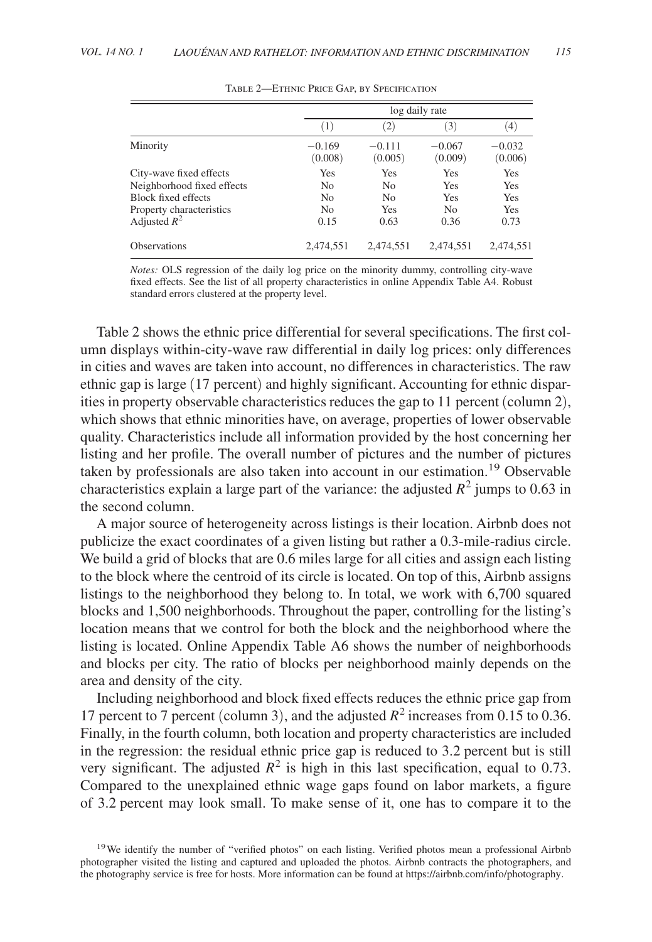|                                                                                                                            |                                                                   | log daily rate                             |                                             |                                  |  |
|----------------------------------------------------------------------------------------------------------------------------|-------------------------------------------------------------------|--------------------------------------------|---------------------------------------------|----------------------------------|--|
|                                                                                                                            | (1)                                                               | $\left( 2\right)$                          | (3)                                         | (4)                              |  |
| Minority                                                                                                                   | $-0.169$<br>(0.008)                                               | $-0.111$<br>(0.005)                        | $-0.067$<br>(0.009)                         | $-0.032$<br>(0.006)              |  |
| City-wave fixed effects<br>Neighborhood fixed effects<br>Block fixed effects<br>Property characteristics<br>Adjusted $R^2$ | Yes<br>N <sub>0</sub><br>N <sub>0</sub><br>N <sub>0</sub><br>0.15 | Yes<br>N <sub>0</sub><br>No<br>Yes<br>0.63 | Yes<br>Yes<br>Yes<br>N <sub>0</sub><br>0.36 | Yes<br>Yes<br>Yes<br>Yes<br>0.73 |  |
| <b>Observations</b>                                                                                                        | 2,474,551                                                         | 2.474.551                                  | 2,474,551                                   | 2,474,551                        |  |

Table 2—Ethnic Price Gap, by Specification

*Notes:* OLS regression of the daily log price on the minority dummy, controlling city-wave fixed effects. See the list of all property characteristics in online Appendix Table A4. Robust standard errors clustered at the property level.

Table 2 shows the ethnic price differential for several specifications. The first column displays within-city-wave raw differential in daily log prices: only differences in cities and waves are taken into account, no differences in characteristics. The raw ethnic gap is large (17 percent) and highly significant. Accounting for ethnic disparities in property observable characteristics reduces the gap to 11 percent (column 2), which shows that ethnic minorities have, on average, properties of lower observable quality. Characteristics include all information provided by the host concerning her listing and her profile. The overall number of pictures and the number of pictures taken by professionals are also taken into account in our estimation.19 Observable characteristics explain a large part of the variance: the adjusted  $R^2$  jumps to 0.63 in the second column.

A major source of heterogeneity across listings is their location. Airbnb does not publicize the exact coordinates of a given listing but rather a 0.3-mile-radius circle. We build a grid of blocks that are 0.6 miles large for all cities and assign each listing to the block where the centroid of its circle is located. On top of this, Airbnb assigns listings to the neighborhood they belong to. In total, we work with 6,700 squared blocks and 1,500 neighborhoods. Throughout the paper, controlling for the listing's location means that we control for both the block and the neighborhood where the listing is located. Online Appendix Table A6 shows the number of neighborhoods and blocks per city. The ratio of blocks per neighborhood mainly depends on the area and density of the city.

Including neighborhood and block fixed effects reduces the ethnic price gap from 17 percent to 7 percent (column 3), and the adjusted  $R^2$  increases from 0.15 to 0.36. Finally, in the fourth column, both location and property characteristics are included in the regression: the residual ethnic price gap is reduced to 3.2 percent but is still very significant. The adjusted  $R^2$  is high in this last specification, equal to 0.73. Compared to the unexplained ethnic wage gaps found on labor markets, a figure of 3.2 percent may look small. To make sense of it, one has to compare it to the

<sup>&</sup>lt;sup>19</sup>We identify the number of "verified photos" on each listing. Verified photos mean a professional Airbnb photographer visited the listing and captured and uploaded the photos. Airbnb contracts the photographers, and the photography service is free for hosts. More information can be found at https://airbnb.com/info/photography.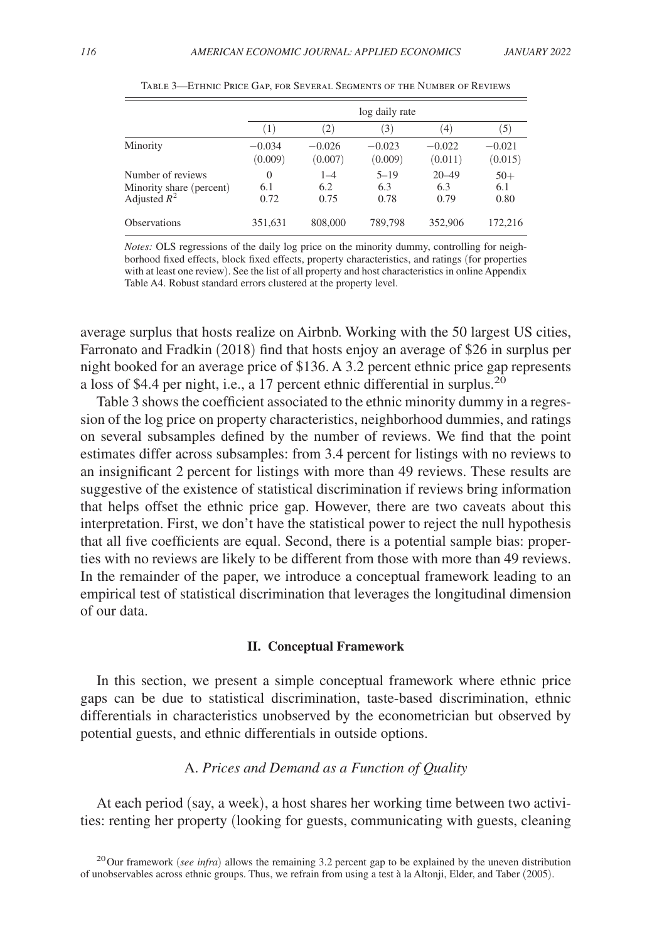|                                                                 | log daily rate          |                        |                         |                          |                      |
|-----------------------------------------------------------------|-------------------------|------------------------|-------------------------|--------------------------|----------------------|
|                                                                 | (1)                     | $\left( 2\right)$      | (3)                     | (4)                      | (5)                  |
| Minority                                                        | $-0.034$<br>(0.009)     | $-0.026$<br>(0.007)    | $-0.023$<br>(0.009)     | $-0.022$<br>(0.011)      | $-0.021$<br>(0.015)  |
| Number of reviews<br>Minority share (percent)<br>Adjusted $R^2$ | $\Omega$<br>6.1<br>0.72 | $1 - 4$<br>6.2<br>0.75 | $5 - 19$<br>6.3<br>0.78 | $20 - 49$<br>6.3<br>0.79 | $50+$<br>6.1<br>0.80 |
| <b>Observations</b>                                             | 351,631                 | 808,000                | 789,798                 | 352,906                  | 172.216              |

Table 3—Ethnic Price Gap, for Several Segments of the Number of Reviews

*Notes:* OLS regressions of the daily log price on the minority dummy, controlling for neighborhood fixed effects, block fixed effects, property characteristics, and ratings (for properties with at least one review). See the list of all property and host characteristics in online Appendix Table A4. Robust standard errors clustered at the property level.

average surplus that hosts realize on Airbnb. Working with the 50 largest US cities, Farronato and Fradkin (2018) find that hosts enjoy an average of \$26 in surplus per night booked for an average price of \$136. A 3.2 percent ethnic price gap represents a loss of \$4.4 per night, i.e., a 17 percent ethnic differential in surplus.<sup>20</sup>

Table 3 shows the coefficient associated to the ethnic minority dummy in a regression of the log price on property characteristics, neighborhood dummies, and ratings on several subsamples defined by the number of reviews. We find that the point estimates differ across subsamples: from 3.4 percent for listings with no reviews to an insignificant 2 percent for listings with more than 49 reviews. These results are suggestive of the existence of statistical discrimination if reviews bring information that helps offset the ethnic price gap. However, there are two caveats about this interpretation. First, we don't have the statistical power to reject the null hypothesis that all five coefficients are equal. Second, there is a potential sample bias: properties with no reviews are likely to be different from those with more than 49 reviews. In the remainder of the paper, we introduce a conceptual framework leading to an empirical test of statistical discrimination that leverages the longitudinal dimension of our data.

#### **II. Conceptual Framework**

In this section, we present a simple conceptual framework where ethnic price gaps can be due to statistical discrimination, taste-based discrimination, ethnic differentials in characteristics unobserved by the econometrician but observed by potential guests, and ethnic differentials in outside options.

## A. *Prices and Demand as a Function of Quality*

At each period (say, a week), a host shares her working time between two activities: renting her property (looking for guests, communicating with guests, cleaning

<sup>&</sup>lt;sup>20</sup>Our framework (*see infra*) allows the remaining 3.2 percent gap to be explained by the uneven distribution of unobservables across ethnic groups. Thus, we refrain from using a test à la Altonji, Elder, and Taber (2005).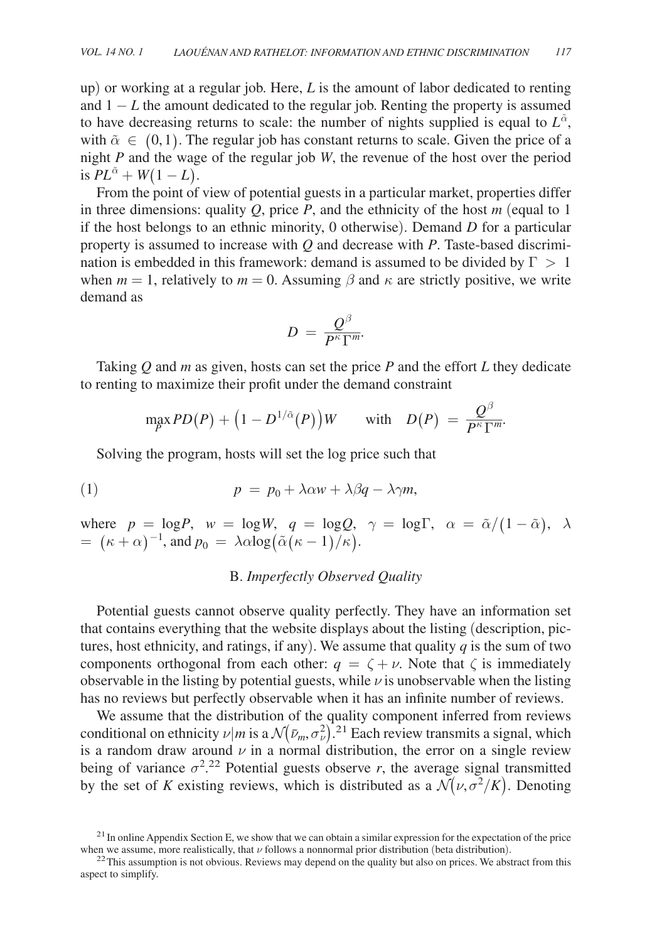up) or working at a regular job. Here, *L* is the amount of labor dedicated to renting and  $1 - L$  the amount dedicated to the regular job. Renting the property is assumed to have decreasing returns to scale: the number of nights supplied is equal to  $L^{\alpha}$ , with  $\tilde{\alpha} \in (0,1)$ . The regular job has constant returns to scale. Given the price of a night *P* and the wage of the regular job *W* , the revenue of the host over the period is  $PL^{\tilde{\alpha}} + W(1 - L)$ .

From the point of view of potential guests in a particular market, properties differ in three dimensions: quality  $Q$ , price  $P$ , and the ethnicity of the host  $m$  (equal to 1) if the host belongs to an ethnic minority, 0 otherwise). Demand *D* for a particular property is assumed to increase with  $Q$  and decrease with  $P$ . Taste-based discrimination is embedded in this framework: demand is assumed to be divided by  $\Gamma > 1$ when *m* = 1, relatively to *m* = 0. Assuming  $\beta$  and  $\kappa$  are strictly positive, we write demand as<br>  $D = \frac{Q^{\beta}}{P^{\kappa} \Gamma^{m}}$ . demand as

$$
D\,=\,\frac{ \mathcal{Q}^{\beta}}{P^{\kappa}\Gamma^m\!.
$$

Taking *Q* and *m* as given, hosts can set the price *P* and the effort *L* they dedicate renting to maximize their profit under the demand constraint<br>  $\max_{P} PD(P) + (1 - D^{1/\tilde{\alpha}}(P))W$  with  $D(P) = \frac{Q^{\beta}}{P^{\kappa} \Gamma^{m}}$ . to renting to maximize their profit under the demand constraint

$$
\max_P D(P) + \left(1 - D^{1/\tilde \alpha}(P)\right) W \qquad \text{with} \quad D(P) \ = \ \frac{Q^\beta}{P^\kappa \Gamma^m}.
$$

Solving the program, hosts will set the log price such that

(1) 
$$
p = p_0 + \lambda \alpha w + \lambda \beta q - \lambda \gamma m,
$$

where  $p = \log P$ ,  $w = \log W$ ,  $q = \log Q$ ,  $\gamma = \log \Gamma$ ,  $\alpha = \tilde{\alpha}/(1-\tilde{\alpha})$ ,  $\lambda$  $= (\kappa + \alpha)^{-1}$ , and  $p_0 = \lambda \alpha \log(\tilde{\alpha}(\kappa - 1)/\kappa)$ .

## B. *Imperfectly Observed Quality*

Potential guests cannot observe quality perfectly. They have an information set that contains everything that the website displays about the listing (description, pictures, host ethnicity, and ratings, if any). We assume that quality  $q$  is the sum of two components orthogonal from each other:  $q = \zeta + \nu$ . Note that  $\zeta$  is immediately observable in the listing by potential guests, while  $\nu$  is unobservable when the listing has no reviews but perfectly observable when it has an infinite number of reviews.

We assume that the distribution of the quality component inferred from reviews conditional on ethnicity  $\nu | m$  is a  $\mathcal{N}(\bar{\nu}_m, \sigma_\nu^2)$ .<sup>21</sup> Each review transmits a signal, which is a random draw around  $\nu$  in a normal distribution, the error on a single review being of variance  $\sigma^2$ <sup>22</sup> Potential guests observe *r*, the average signal transmitted by the set of *K* existing reviews, which is distributed as a  $\mathcal{N}(\nu, \sigma^2/K)$ . Denoting

 $^{21}$  In online Appendix Section E, we show that we can obtain a similar expression for the expectation of the price when we assume, more realistically, that  $\nu$  follows a nonnormal prior distribution (beta distribution).

 $22$ This assumption is not obvious. Reviews may depend on the quality but also on prices. We abstract from this aspect to simplify.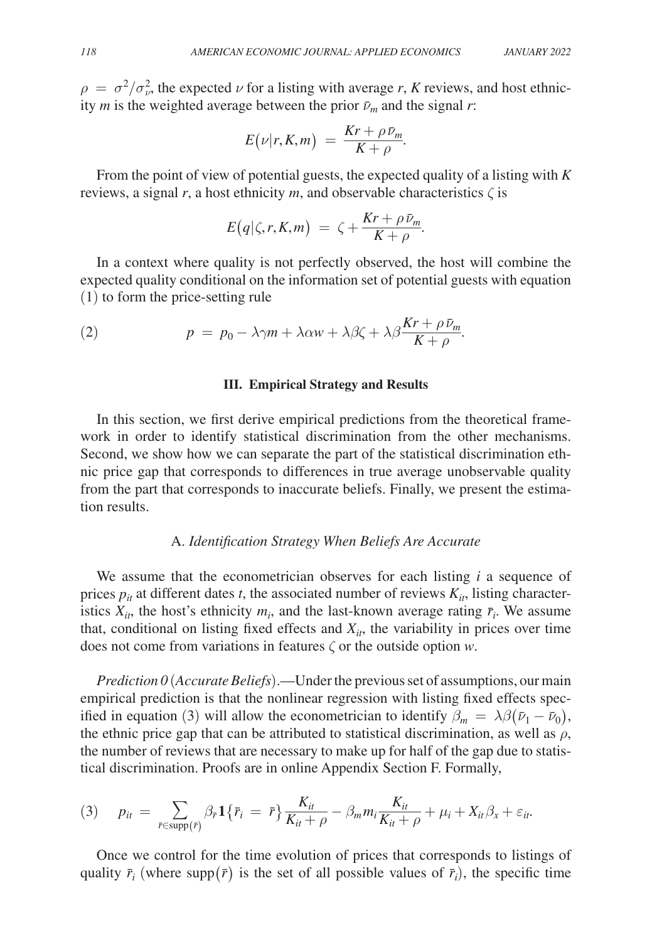$\rho = \sigma^2/\sigma_{\nu}^2$ , the expected  $\nu$  for a listing with average r, K reviews, and host ethnicity *m* is the weighted average between the prior  $\bar{\nu}_m$  and the signal *r*: *L: APPLIED I*<br>average *r*<br>ior  $\bar{\nu}_m$  and<br> $\frac{Kr + \rho \bar{\nu}_m}{K + \rho}$ 

$$
E(\nu|r, K, m) = \frac{Kr + \rho \bar{\nu}_m}{K + \rho}.
$$

From the point of view of potential guests, the expected quality of a listing with *K* reviews, a signal  $r$ , a host ethnicity  $m$ , and observable characteristics  $\zeta$  is  $\frac{K}{K + \rho}$ <br>expected<br>vable channels<br> $\frac{Kr + \rho \bar{\nu}_m}{K + \rho}$ 

$$
E(q|\zeta,r,K,m) = \zeta + \frac{Kr + \rho \bar{\nu}_m}{K + \rho}.
$$

In a context where quality is not perfectly observed, the host will combine the expected quality conditional on the information set of potential guests with equation (1) to form the price-setting rule d, the hos<br>otential gu<br> $\frac{Kr + \rho \bar{\nu}_m}{K + \rho}$ 

(2) 
$$
p = p_0 - \lambda \gamma m + \lambda \alpha w + \lambda \beta \zeta + \lambda \beta \frac{Kr + \rho \bar{\nu}_m}{K + \rho}.
$$

#### **III. Empirical Strategy and Results**

In this section, we first derive empirical predictions from the theoretical framework in order to identify statistical discrimination from the other mechanisms. Second, we show how we can separate the part of the statistical discrimination ethnic price gap that corresponds to differences in true average unobservable quality from the part that corresponds to inaccurate beliefs. Finally, we present the estimation results.

## A. *Identification Strategy When Beliefs Are Accurate*

We assume that the econometrician observes for each listing *i* a sequence of prices  $p_{it}$  at different dates *t*, the associated number of reviews  $K_{it}$ , listing characteristics  $X_{it}$ , the host's ethnicity  $m_i$ , and the last-known average rating  $\bar{r}_i$ . We assume that, conditional on listing fixed effects and  $X_i$ , the variability in prices over time does not come from variations in features ζ or the outside option *w* .

*Prediction 0* (*Accurate Beliefs*).—Under the previous set of assumptions, our main empirical prediction is that the nonlinear regression with listing fixed effects specified in equation (3) will allow the econometrician to identify  $\beta_m = \lambda \beta (\bar{\nu}_1 - \bar{\nu}_0)$ , the ethnic price gap that can be attributed to statistical discrimination, as well as  $\rho$ , the number of reviews that are necessary to make up for half of the gap due to statistical discrimination. Proofs are in online Appendix Section F. Formally,

the number of reviews that are necessary to make up for half of the gap due to  
tical discrimination. Proofs are in online Appendix Section F. Formally,  
(3) 
$$
p_{it} = \sum_{\bar{r} \in \text{supp}(\bar{r})} \beta_{\bar{r}} \mathbf{1} \{ \bar{r}_i = \bar{r} \} \frac{K_{it}}{K_{it} + \rho} - \beta_m m_i \frac{K_{it}}{K_{it} + \rho} + \mu_i + X_{it} \beta_x + \varepsilon_{it}.
$$

Once we control for the time evolution of prices that corresponds to listings of quality  $\bar{r}_i$  (where supp  $(\bar{r})$  is the set of all possible values of  $\bar{r}_i$ ), the specific time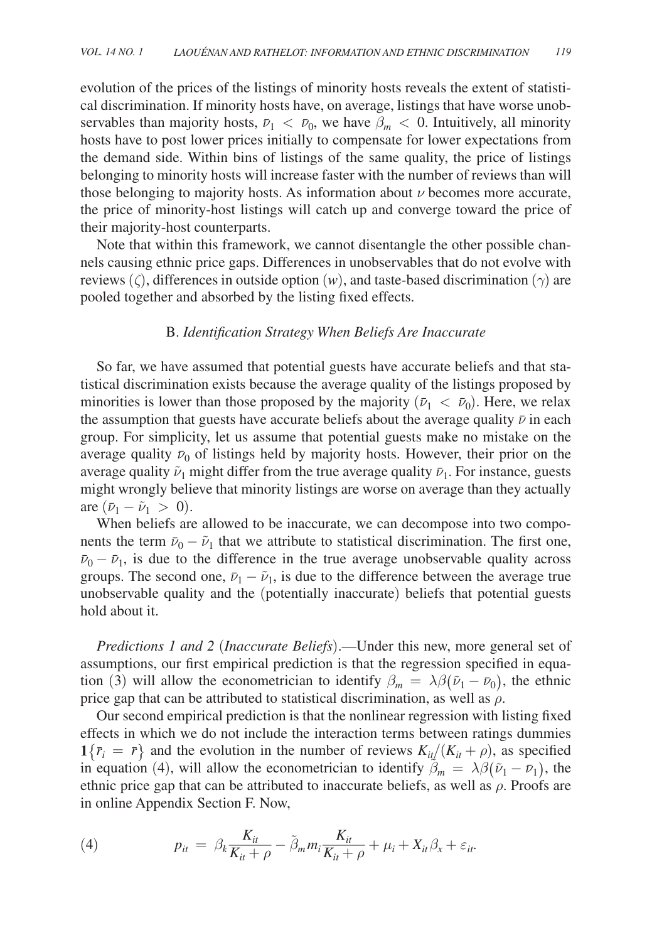evolution of the prices of the listings of minority hosts reveals the extent of statistical discrimination. If minority hosts have, on average, listings that have worse unobservables than majority hosts,  $\bar{\nu}_1 < \bar{\nu}_0$ , we have  $\beta_m < 0$ . Intuitively, all minority hosts have to post lower prices initially to compensate for lower expectations from the demand side. Within bins of listings of the same quality, the price of listings belonging to minority hosts will increase faster with the number of reviews than will those belonging to majority hosts. As information about  $\nu$  becomes more accurate, the price of minority-host listings will catch up and converge toward the price of their majority-host counterparts.

Note that within this framework, we cannot disentangle the other possible channels causing ethnic price gaps. Differences in unobservables that do not evolve with reviews  $(\zeta)$ , differences in outside option  $(w)$ , and taste-based discrimination  $(\gamma)$  are pooled together and absorbed by the listing fixed effects.

## B. *Identification Strategy When Beliefs Are Inaccurate*

So far, we have assumed that potential guests have accurate beliefs and that statistical discrimination exists because the average quality of the listings proposed by minorities is lower than those proposed by the majority  $(\bar{\nu}_1 < \bar{\nu}_0)$ . Here, we relax the assumption that guests have accurate beliefs about the average quality  $\bar{\nu}$  in each group. For simplicity, let us assume that potential guests make no mistake on the average quality  $\bar{v}_0$  of listings held by majority hosts. However, their prior on the average quality  $\tilde{\nu}_1$  might differ from the true average quality  $\bar{\nu}_1$ . For instance, guests might wrongly believe that minority listings are worse on average than they actually are  $(\bar{\nu}_1 - \tilde{\nu}_1 > 0)$ .

When beliefs are allowed to be inaccurate, we can decompose into two components the term  $\bar{\nu}_0 - \tilde{\nu}_1$  that we attribute to statistical discrimination. The first one,  $\bar{\nu}_0 - \bar{\nu}_1$ , is due to the difference in the true average unobservable quality across groups. The second one,  $\bar{\nu}_1 - \tilde{\nu}_1$ , is due to the difference between the average true unobservable quality and the (potentially inaccurate) beliefs that potential guests hold about it.

*Predictions 1 and 2* (*Inaccurate Beliefs*).—Under this new, more general set of assumptions, our first empirical prediction is that the regression specified in equation (3) will allow the econometrician to identify  $\beta_m = \lambda \beta (\tilde{\nu}_1 - \bar{\nu}_0)$ , the ethnic price gap that can be attributed to statistical discrimination, as well as  $\rho$ .

Our second empirical prediction is that the nonlinear regression with listing fixed effects in which we do not include the interaction terms between ratings dummies  $\mathbf{1}\{\bar{r}_i = \bar{r}\}\$  and the evolution in the number of reviews  $K_{it}/(K_{it} + \rho)$ , as specified in equation (4), will allow the econometrician to identify  $\tilde{\beta}_m = \lambda \beta (\tilde{\nu}_1 - \bar{\nu}_1)$ , the ethnic price gap that can be attributed to inaccurate beliefs, as well as  $\rho$ . Proofs are<br>
in online Appendix Section F. Now,<br>
(4)  $p_{it} = \beta_k \frac{K_{it}}{K_{it} + \rho} - \tilde{\beta}_m m_i \frac{K_{it}}{K_{it} + \rho} + \mu_i + X_{it} \beta_x + \varepsilon_{it}$ . in online Appendix Section F. Now,

ethnic price gap that can be attributed to inaccurate beliefs, as well in online Appendix Section F. Now,

\n
$$
p_{it} = \beta_k \frac{K_{it}}{K_{it} + \rho} - \tilde{\beta}_m m_i \frac{K_{it}}{K_{it} + \rho} + \mu_i + X_{it} \beta_x + \varepsilon_{it}.
$$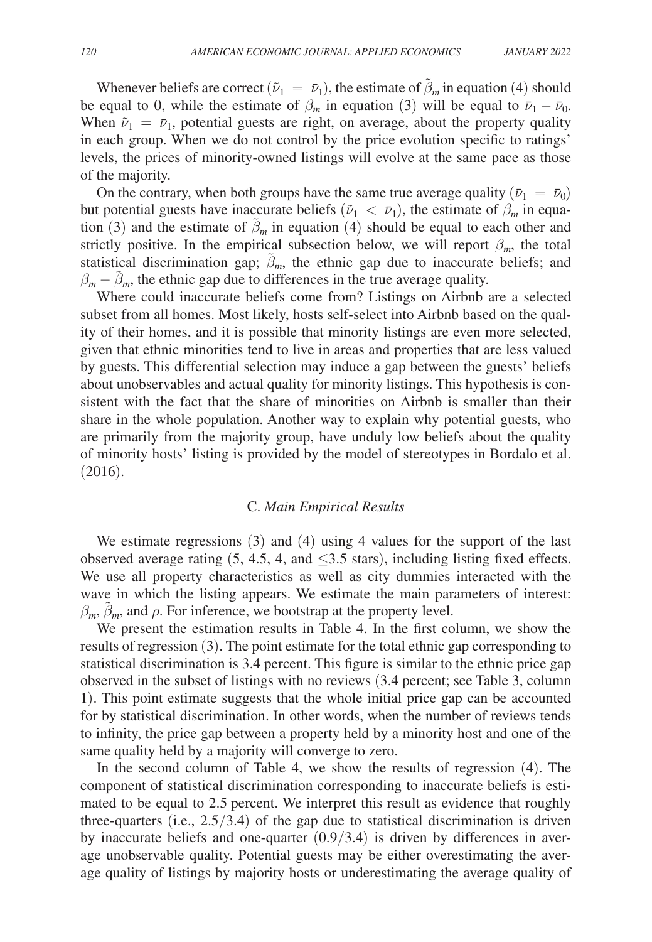Whenever beliefs are correct  $(\tilde{\nu}_1 = \bar{\nu}_1)$ , the estimate of  $\tilde{\beta}_m$  in equation (4) should be equal to 0, while the estimate of  $\beta_m$  in equation (3) will be equal to  $\bar{\nu}_1 - \bar{\nu}_0$ . When  $\tilde{\nu}_1 = \bar{\nu}_1$ , potential guests are right, on average, about the property quality in each group. When we do not control by the price evolution specific to ratings' levels, the prices of minority-owned listings will evolve at the same pace as those of the majority.

On the contrary, when both groups have the same true average quality  $(\bar{\nu}_1 = \bar{\nu}_0)$ but potential guests have inaccurate beliefs  $(\tilde{\nu}_1 < \bar{\nu}_1)$ , the estimate of  $\beta_m$  in equation (3) and the estimate of  $\tilde{\beta}_m$  in equation (4) should be equal to each other and strictly positive. In the empirical subsection below, we will report  $\beta_m$ , the total statistical discrimination gap;  $\tilde{\beta}_m$ , the ethnic gap due to inaccurate beliefs; and  $\beta_m - \tilde{\beta}_m$ , the ethnic gap due to differences in the true average quality.

Where could inaccurate beliefs come from? Listings on Airbnb are a selected subset from all homes. Most likely, hosts self-select into Airbnb based on the quality of their homes, and it is possible that minority listings are even more selected, given that ethnic minorities tend to live in areas and properties that are less valued by guests. This differential selection may induce a gap between the guests' beliefs about unobservables and actual quality for minority listings. This hypothesis is consistent with the fact that the share of minorities on Airbnb is smaller than their share in the whole population. Another way to explain why potential guests, who are primarily from the majority group, have unduly low beliefs about the quality of minority hosts' listing is provided by the model of stereotypes in Bordalo et al. (2016).

#### C. *Main Empirical Results*

We estimate regressions (3) and (4) using 4 values for the support of the last observed average rating  $(5, 4.5, 4, \text{ and } \leq 3.5 \text{ stars})$ , including listing fixed effects. We use all property characteristics as well as city dummies interacted with the wave in which the listing appears. We estimate the main parameters of interest:  $\beta_m$ ,  $\tilde{\beta}_m$ , and  $\rho$ . For inference, we bootstrap at the property level.

We present the estimation results in Table 4. In the first column, we show the results of regression (3). The point estimate for the total ethnic gap corresponding to statistical discrimination is 3.4 percent. This figure is similar to the ethnic price gap observed in the subset of listings with no reviews (3.4 percent; see Table 3, column 1). This point estimate suggests that the whole initial price gap can be accounted for by statistical discrimination. In other words, when the number of reviews tends to infinity, the price gap between a property held by a minority host and one of the same quality held by a majority will converge to zero.

In the second column of Table 4, we show the results of regression (4). The component of statistical discrimination corresponding to inaccurate beliefs is estimated to be equal to 2.5 percent. We interpret this result as evidence that roughly three-quarters (i.e.,  $2.5/3.4$ ) of the gap due to statistical discrimination is driven by inaccurate beliefs and one-quarter  $(0.9/3.4)$  is driven by differences in average unobservable quality. Potential guests may be either overestimating the average quality of listings by majority hosts or underestimating the average quality of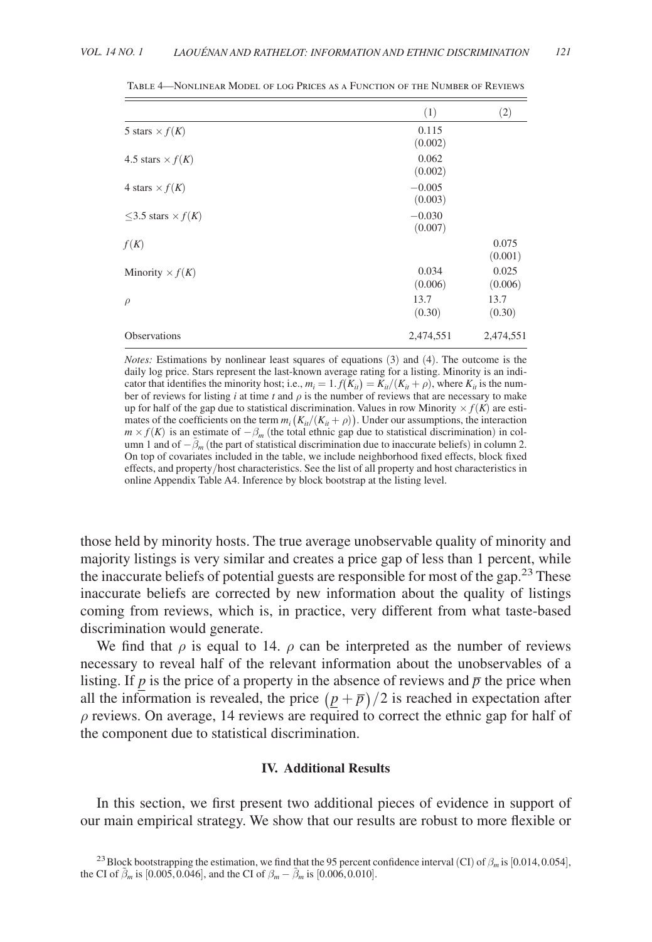|                               | (1)                 | (2)              |
|-------------------------------|---------------------|------------------|
| 5 stars $\times$ $f(K)$       | 0.115<br>(0.002)    |                  |
| 4.5 stars $\times$ $f(K)$     | 0.062<br>(0.002)    |                  |
| 4 stars $\times$ $f(K)$       | $-0.005$<br>(0.003) |                  |
| $<$ 3.5 stars $\times$ $f(K)$ | $-0.030$<br>(0.007) |                  |
| f(K)                          |                     | 0.075<br>(0.001) |
| Minority $\times f(K)$        | 0.034<br>(0.006)    | 0.025<br>(0.006) |
| $\rho$                        | 13.7<br>(0.30)      | 13.7<br>(0.30)   |
| <b>Observations</b>           | 2,474,551           | 2,474,551        |

Table 4—Nonlinear Model of log Prices as a Function of the Number of Reviews

*Notes:* Estimations by nonlinear least squares of equations (3) and (4). The outcome is the daily log price. Stars represent the last-known average rating for a listing. Minority is an indicator that identifies the minority host; i.e.,  $m_i = 1$ .  $f(K_{it}) = K_{it}/(K_{it} + \rho)$ , where  $K_{it}$  is the number of reviews for listing  $i$  at time  $t$  and  $\rho$  is the number of reviews that are necessary to make up for half of the gap due to statistical discrimination. Values in row Minority  $\times f(K)$  are estimates of the coefficients on the term  $m_i(K_{it}/(K_{it} + \rho))$ . Under our assumptions, the interaction  $m \times f(K)$  is an estimate of  $-\beta_m$  (the total ethnic gap due to statistical discrimination) in column 1 and of − β̃ *<sup>m</sup>* (the part of statistical discrimination due to inaccurate beliefs) in column 2. On top of covariates included in the table, we include neighborhood fixed effects, block fixed effects, and property/host characteristics. See the list of all property and host characteristics in online Appendix Table A4. Inference by block bootstrap at the listing level.

those held by minority hosts. The true average unobservable quality of minority and majority listings is very similar and creates a price gap of less than 1 percent, while the inaccurate beliefs of potential guests are responsible for most of the gap.<sup>23</sup> These inaccurate beliefs are corrected by new information about the quality of listings coming from reviews, which is, in practice, very different from what taste-based discrimination would generate.

We find that  $\rho$  is equal to 14.  $\rho$  can be interpreted as the number of reviews necessary to reveal half of the relevant information about the unobservables of a listing. If *p* is the price of a property in the absence of reviews and  $\bar{p}$  the price when all the information is revealed, the price  $(n + \bar{n})/2$  is reached in expectation after Itsung. If p is the price of a property in the absence of reviews and p the price when<br>all the information is revealed, the price  $(p + \bar{p})/2$  is reached in expectation after<br>a reviews. On evergent 14 reviews are required  $\rho$  reviews. On average, 14 reviews are required to correct the ethnic gap for half of the component due to statistical discrimination.

#### **IV. Additional Results**

In this section, we first present two additional pieces of evidence in support of our main empirical strategy. We show that our results are robust to more flexible or

<sup>&</sup>lt;sup>23</sup>Block bootstrapping the estimation, we find that the 95 percent confidence interval (CI) of  $\beta_m$  is [0.014, 0.054], the CI of  $\tilde{\beta}_m$  is [0.005, 0.046], and the CI of  $\beta_m - \tilde{\beta}_m$  is [0.006, 0.010].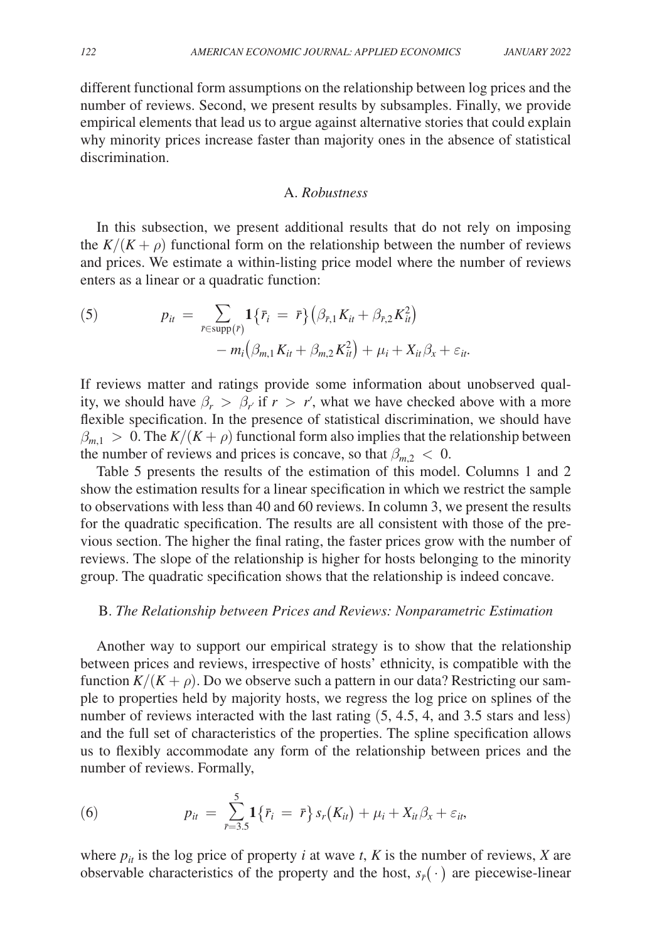different functional form assumptions on the relationship between log prices and the number of reviews. Second, we present results by subsamples. Finally, we provide empirical elements that lead us to argue against alternative stories that could explain why minority prices increase faster than majority ones in the absence of statistical discrimination.

## A. *Robustness*

In this subsection, we present additional results that do not rely on imposing the  $K/(K + \rho)$  functional form on the relationship between the number of reviews and prices. We estimate a within-listing price model where the number of reviews enters as a linear or a quadratic function:

(5) 
$$
p_{it} = \sum_{\bar{r} \in \text{supp}(\bar{r})} \mathbf{1} \{ \bar{r}_i = \bar{r} \} \left( \beta_{\bar{r},1} K_{it} + \beta_{\bar{r},2} K_{it}^2 \right) \\ - m_i \left( \beta_{m,1} K_{it} + \beta_{m,2} K_{it}^2 \right) + \mu_i + X_{it} \beta_x + \varepsilon_{it}.
$$

If reviews matter and ratings provide some information about unobserved quality, we should have  $\beta_r > \beta_r$  if  $r > r'$ , what we have checked above with a more flexible specification. In the presence of statistical discrimination, we should have  $\beta_{m,1} > 0$ . The  $K/(K + \rho)$  functional form also implies that the relationship between the number of reviews and prices is concave, so that  $\beta_{m,2} < 0$ .

Table 5 presents the results of the estimation of this model. Columns 1 and 2 show the estimation results for a linear specification in which we restrict the sample to observations with less than 40 and 60 reviews. In column 3, we present the results for the quadratic specification. The results are all consistent with those of the previous section. The higher the final rating, the faster prices grow with the number of reviews. The slope of the relationship is higher for hosts belonging to the minority group. The quadratic specification shows that the relationship is indeed concave.

### B. *The Relationship between Prices and Reviews: Nonparametric Estimation*

Another way to support our empirical strategy is to show that the relationship between prices and reviews, irrespective of hosts' ethnicity, is compatible with the function  $K/(K + \rho)$ . Do we observe such a pattern in our data? Restricting our sample to properties held by majority hosts, we regress the log price on splines of the number of reviews interacted with the last rating  $(5, 4.5, 4, \text{ and } 3.5 \text{ stars and less})$ and the full set of characteristics of the properties. The spline specification allows us to flexibly accommodate any form of the relationship between prices and the number of reviews. Formally,

(6) 
$$
p_{it} = \sum_{r=3.5}^{5} \mathbf{1} \{ \bar{r}_i = \bar{r} \} s_r(K_{it}) + \mu_i + X_{it} \beta_x + \varepsilon_{it},
$$

where  $p_{it}$  is the log price of property *i* at wave *t*, *K* is the number of reviews, *X* are observable characteristics of the property and the host,  $s_{\bar{r}}(\cdot)$  are piecewise-linear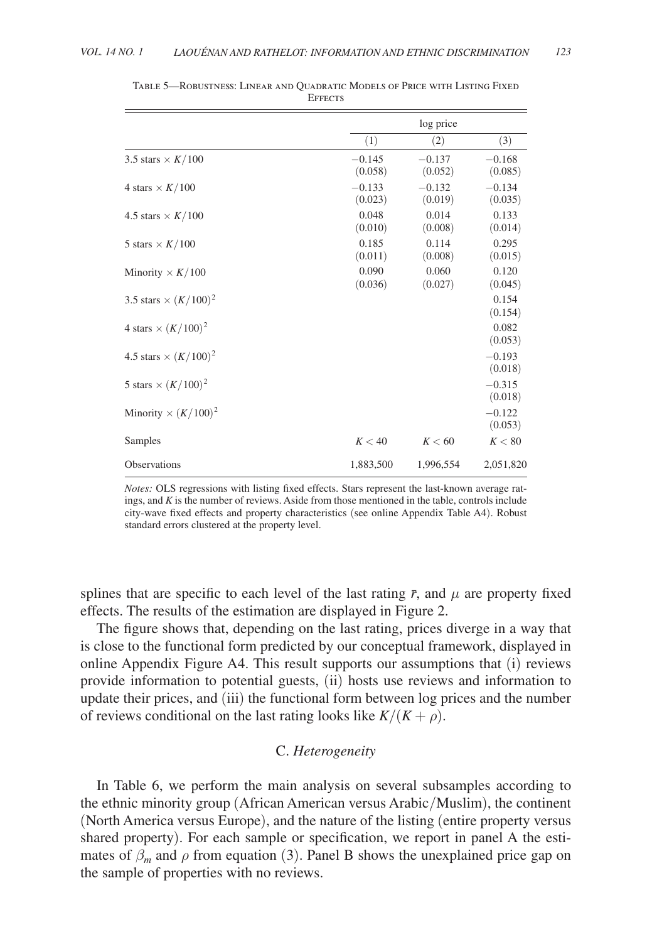|                              |                     | log price           |                     |
|------------------------------|---------------------|---------------------|---------------------|
|                              | (1)                 | (2)                 | (3)                 |
| 3.5 stars $\times K/100$     | $-0.145$<br>(0.058) | $-0.137$<br>(0.052) | $-0.168$<br>(0.085) |
| 4 stars $\times K/100$       | $-0.133$<br>(0.023) | $-0.132$<br>(0.019) | $-0.134$<br>(0.035) |
| 4.5 stars $\times K/100$     | 0.048<br>(0.010)    | 0.014<br>(0.008)    | 0.133<br>(0.014)    |
| 5 stars $\times K/100$       | 0.185<br>(0.011)    | 0.114<br>(0.008)    | 0.295<br>(0.015)    |
| Minority $\times K/100$      | 0.090<br>(0.036)    | 0.060<br>(0.027)    | 0.120<br>(0.045)    |
| 3.5 stars $\times (K/100)^2$ |                     |                     | 0.154<br>(0.154)    |
| 4 stars $\times (K/100)^2$   |                     |                     | 0.082<br>(0.053)    |
| 4.5 stars $\times (K/100)^2$ |                     |                     | $-0.193$<br>(0.018) |
| 5 stars $\times$ $(K/100)^2$ |                     |                     | $-0.315$<br>(0.018) |
| Minority $\times (K/100)^2$  |                     |                     | $-0.122$<br>(0.053) |
| Samples                      | K < 40              | K < 60              | K < 80              |
| Observations                 | 1,883,500           | 1,996,554           | 2,051,820           |

Table 5—Robustness: Linear and Quadratic Models of Price with Listing Fixed **EFFECTS** 

splines that are specific to each level of the last rating  $\bar{r}$ , and  $\mu$  are property fixed effects. The results of the estimation are displayed in Figure 2.

The figure shows that, depending on the last rating, prices diverge in a way that is close to the functional form predicted by our conceptual framework, displayed in online Appendix Figure A4. This result supports our assumptions that (i) reviews provide information to potential guests, (ii) hosts use reviews and information to update their prices, and (iii) the functional form between log prices and the number of reviews conditional on the last rating looks like  $K/(K + \rho)$ .

## C. *Heterogeneity*

In Table 6, we perform the main analysis on several subsamples according to the ethnic minority group ( African American versus Arabic/Muslim), the continent ( North America versus Europe), and the nature of the listing (entire property versus shared property). For each sample or specification, we report in panel A the estimates of  $\beta_m$  and  $\rho$  from equation (3). Panel B shows the unexplained price gap on the sample of properties with no reviews.

*Notes:* OLS regressions with listing fixed effects. Stars represent the last-known average ratings, and *K* is the number of reviews. Aside from those mentioned in the table, controls include city-wave fixed effects and property characteristics (see online Appendix Table A4). Robust standard errors clustered at the property level.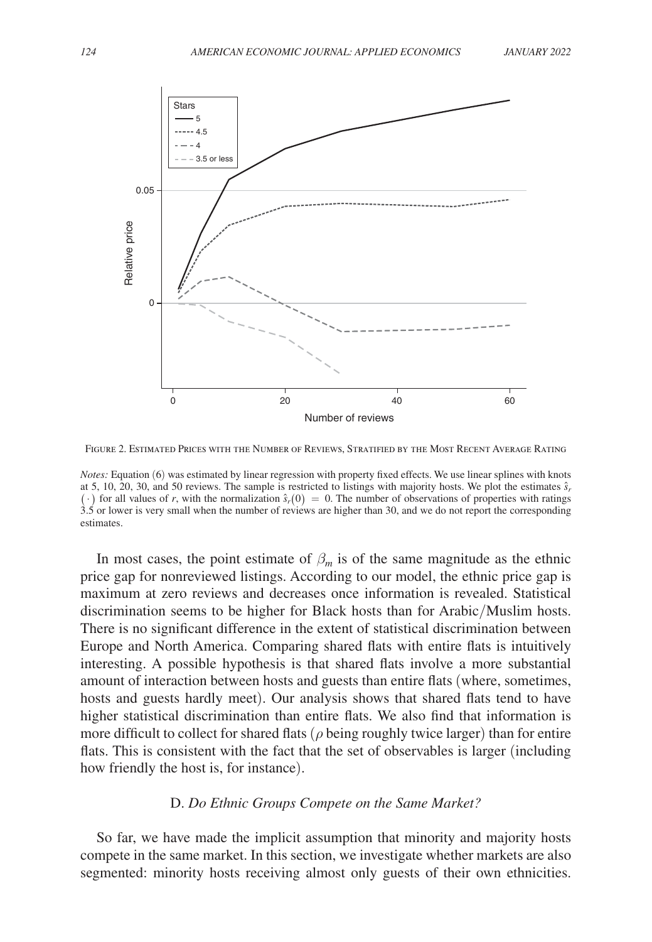

Figure 2. Estimated Prices with the Number of Reviews, Stratified by the Most Recent Average Rating

*Notes:* Equation (6) was estimated by linear regression with property fixed effects. We use linear splines with knots at 5, 10, 20, 30, and 50 reviews. The sample is restricted to listings with majority hosts. We plot the estimates  $\hat{s}_r$  $( \cdot )$  for all values of *r*, with the normalization  $\hat{s}_r(0) = 0$ . The number of observations of properties with ratings 3.5 or lower is very small when the number of reviews are higher than 30, and we do not report the corresponding estimates.

In most cases, the point estimate of  $\beta_m$  is of the same magnitude as the ethnic price gap for nonreviewed listings. According to our model, the ethnic price gap is maximum at zero reviews and decreases once information is revealed. Statistical discrimination seems to be higher for Black hosts than for Arabic/Muslim hosts. There is no significant difference in the extent of statistical discrimination between Europe and North America. Comparing shared flats with entire flats is intuitively interesting. A possible hypothesis is that shared flats involve a more substantial amount of interaction between hosts and guests than entire flats (where, sometimes, hosts and guests hardly meet). Our analysis shows that shared flats tend to have higher statistical discrimination than entire flats. We also find that information is more difficult to collect for shared flats ( $\rho$  being roughly twice larger) than for entire flats. This is consistent with the fact that the set of observables is larger (including how friendly the host is, for instance).

## D. *Do Ethnic Groups Compete on the Same Market?*

So far, we have made the implicit assumption that minority and majority hosts compete in the same market. In this section, we investigate whether markets are also segmented: minority hosts receiving almost only guests of their own ethnicities.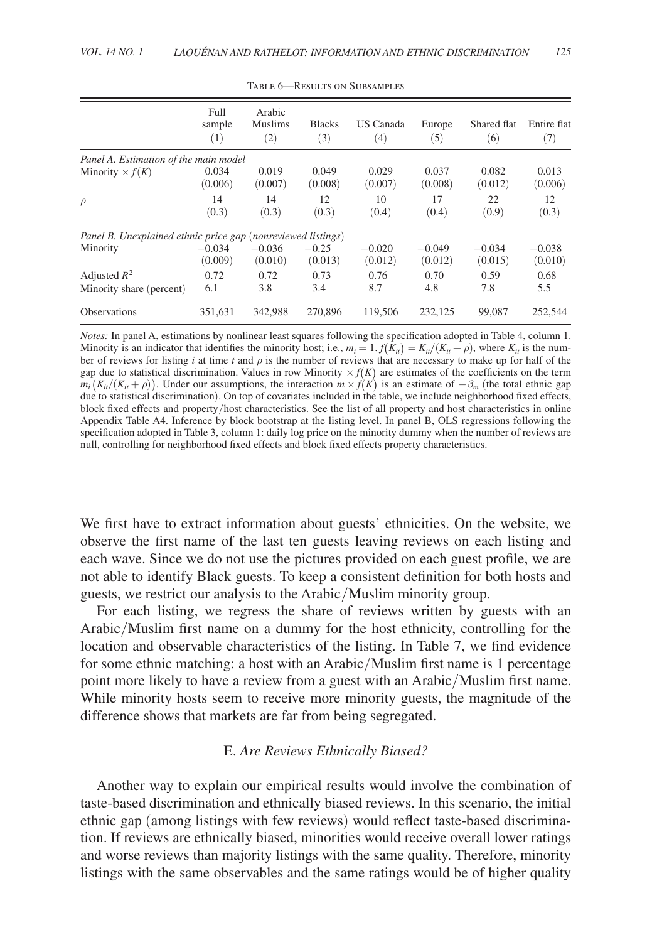|                                                              | Full<br>sample<br>(1) | Arabic<br><b>Muslims</b><br>(2) | <b>Blacks</b><br>(3) | US Canada<br>(4)    | Europe<br>(5)       | Shared flat<br>(6)  | Entire flat<br>(7)  |
|--------------------------------------------------------------|-----------------------|---------------------------------|----------------------|---------------------|---------------------|---------------------|---------------------|
| Panel A. Estimation of the main model                        |                       |                                 |                      |                     |                     |                     |                     |
| Minority $\times f(K)$                                       | 0.034<br>(0.006)      | 0.019<br>(0.007)                | 0.049<br>(0.008)     | 0.029<br>(0.007)    | 0.037<br>(0.008)    | 0.082<br>(0.012)    | 0.013<br>(0.006)    |
| $\rho$                                                       | 14<br>(0.3)           | 14<br>(0.3)                     | 12<br>(0.3)          | 10<br>(0.4)         | 17<br>(0.4)         | 22<br>(0.9)         | 12<br>(0.3)         |
| Panel B. Unexplained ethnic price gap (nonreviewed listings) |                       |                                 |                      |                     |                     |                     |                     |
| Minority                                                     | $-0.034$<br>(0.009)   | $-0.036$<br>(0.010)             | $-0.25$<br>(0.013)   | $-0.020$<br>(0.012) | $-0.049$<br>(0.012) | $-0.034$<br>(0.015) | $-0.038$<br>(0.010) |
| Adjusted $R^2$                                               | 0.72                  | 0.72                            | 0.73                 | 0.76                | 0.70                | 0.59                | 0.68                |
| Minority share (percent)                                     | 6.1                   | 3.8                             | 3.4                  | 8.7                 | 4.8                 | 7.8                 | 5.5                 |
| <b>Observations</b>                                          | 351,631               | 342.988                         | 270,896              | 119,506             | 232,125             | 99,087              | 252,544             |

TABLE 6-RESULTS ON SUBSAMPLES

*Notes:* In panel A, estimations by nonlinear least squares following the specification adopted in Table 4, column 1. Minority is an indicator that identifies the minority host; i.e.,  $m_i = 1$ .  $f(K_i) = K_{ii}/(K_{ii} + \rho)$ , where  $K_{ii}$  is the number of reviews for listing *i* at time *t* and  $\rho$  is the number of reviews that are necessary to make up for half of the gap due to statistical discrimination. Values in row Minority  $\times f(K)$  are estimates of the coefficients on the term  $m_i(K_{ii}/(K_{ii} + \rho))$ . Under our assumptions, the interaction  $m \times f(K)$  is an estimate of  $-\beta_m$  (the total ethnic gap due to statistical discrimination). On top of covariates included in the table, we include neighborhood fixed effects, block fixed effects and property/host characteristics. See the list of all property and host characteristics in online Appendix Table A4. Inference by block bootstrap at the listing level. In panel B, OLS regressions following the specification adopted in Table 3, column 1: daily log price on the minority dummy when the number of reviews are null, controlling for neighborhood fixed effects and block fixed effects property characteristics.

We first have to extract information about guests' ethnicities. On the website, we observe the first name of the last ten guests leaving reviews on each listing and each wave. Since we do not use the pictures provided on each guest profile, we are not able to identify Black guests. To keep a consistent definition for both hosts and guests, we restrict our analysis to the Arabic/Muslim minority group.

For each listing, we regress the share of reviews written by guests with an Arabic/Muslim first name on a dummy for the host ethnicity, controlling for the location and observable characteristics of the listing. In Table 7, we find evidence for some ethnic matching: a host with an Arabic/Muslim first name is 1 percentage point more likely to have a review from a guest with an Arabic/Muslim first name. While minority hosts seem to receive more minority guests, the magnitude of the difference shows that markets are far from being segregated.

## E. *Are Reviews Ethnically Biased?*

Another way to explain our empirical results would involve the combination of taste-based discrimination and ethnically biased reviews. In this scenario, the initial ethnic gap (among listings with few reviews) would reflect taste-based discrimination. If reviews are ethnically biased, minorities would receive overall lower ratings and worse reviews than majority listings with the same quality. Therefore, minority listings with the same observables and the same ratings would be of higher quality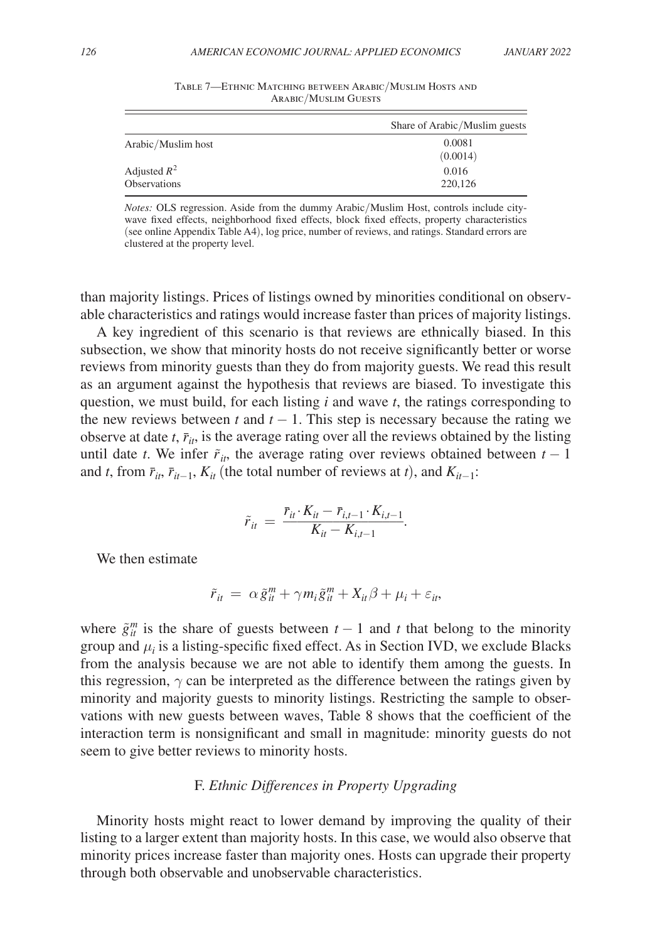|                                       | Share of Arabic/Muslim guests |
|---------------------------------------|-------------------------------|
| Arabic/Muslim host                    | 0.0081<br>(0.0014)            |
| Adjusted $R^2$<br><b>Observations</b> | 0.016<br>220,126              |

Table 7—Ethnic Matching between Arabic/Muslim Hosts and Arabic/Muslim Guests

*Notes:* OLS regression. Aside from the dummy Arabic/Muslim Host, controls include citywave fixed effects, neighborhood fixed effects, block fixed effects, property characteristics (see online Appendix Table A4), log price, number of reviews, and ratings. Standard errors are clustered at the property level.

than majority listings. Prices of listings owned by minorities conditional on observable characteristics and ratings would increase faster than prices of majority listings.

A key ingredient of this scenario is that reviews are ethnically biased. In this subsection, we show that minority hosts do not receive significantly better or worse reviews from minority guests than they do from majority guests. We read this result as an argument against the hypothesis that reviews are biased. To investigate this question, we must build, for each listing  $i$  and wave  $t$ , the ratings corresponding to the new reviews between *t* and  $t - 1$ . This step is necessary because the rating we observe at date  $t$ ,  $\bar{r}_{it}$ , is the average rating over all the reviews obtained by the listing until date *t*. We infer  $\tilde{r}_{it}$ , the average rating over reviews obtained between  $t - 1$ and *t*, from  $\bar{r}_{it}$ ,  $\bar{r}_{it-1}$ ,  $K_{it}$  (the total number of reviews at *t*), and  $K_{it-1}$ :<br> $\tilde{r}_{it} = \frac{\bar{r}_{it} \cdot K_{it} - \bar{r}_{i,t-1} \cdot K_{i,t-1}}{K_{it} - K_{i,t-1}}$ .

$$
\tilde{r}_{it} = \frac{\bar{r}_{it} \cdot K_{it} - \bar{r}_{i,t-1} \cdot K_{i,t-1}}{K_{it} - K_{i,t-1}}.
$$

We then estimate

$$
\tilde{r}_{it} = \alpha \tilde{g}_{it}^m + \gamma m_i \tilde{g}_{it}^m + X_{it}\beta + \mu_i + \varepsilon_{it},
$$

where  $\tilde{g}^m_{ii}$  is the share of guests between  $t-1$  and  $t$  that belong to the minority group and  $\mu_i$  is a listing-specific fixed effect. As in Section IVD, we exclude Blacks from the analysis because we are not able to identify them among the guests. In this regression,  $\gamma$  can be interpreted as the difference between the ratings given by minority and majority guests to minority listings. Restricting the sample to observations with new guests between waves, Table 8 shows that the coefficient of the interaction term is nonsignificant and small in magnitude: minority guests do not seem to give better reviews to minority hosts.

#### F. *Ethnic Differences in Property Upgrading*

Minority hosts might react to lower demand by improving the quality of their listing to a larger extent than majority hosts. In this case, we would also observe that minority prices increase faster than majority ones. Hosts can upgrade their property through both observable and unobservable characteristics.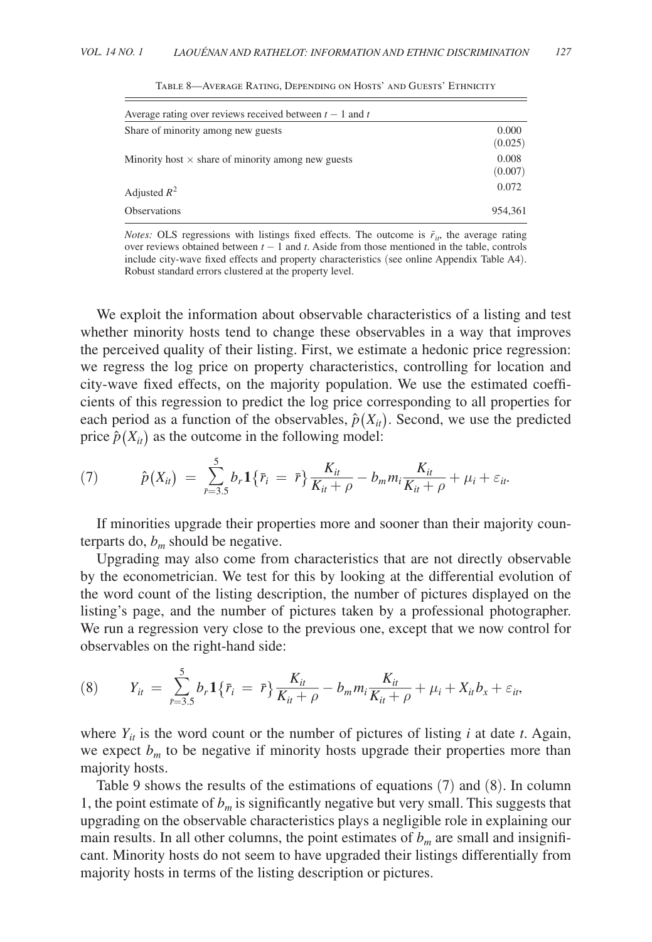| Average rating over reviews received between $t - 1$ and t |                  |
|------------------------------------------------------------|------------------|
| Share of minority among new guests                         | 0.000<br>(0.025) |
| Minority host $\times$ share of minority among new guests  | 0.008<br>(0.007) |
| Adjusted $R^2$                                             | 0.072            |
| <b>Observations</b>                                        | 954.361          |

Table 8—Average Rating, Depending on Hosts' and Guests' Ethnicity

*Notes:* OLS regressions with listings fixed effects. The outcome is  $\tilde{r}_{it}$ , the average rating over reviews obtained between *t* − 1 and *t* . Aside from those mentioned in the table, controls include city-wave fixed effects and property characteristics (see online Appendix Table A4). Robust standard errors clustered at the property level.

We exploit the information about observable characteristics of a listing and test whether minority hosts tend to change these observables in a way that improves the perceived quality of their listing. First, we estimate a hedonic price regression: we regress the log price on property characteristics, controlling for location and city-wave fixed effects, on the majority population. We use the estimated coefficients of this regression to predict the log price corresponding to all properties for each period as a function of the observables,  $\hat{p}(X_{it})$ . Second, we use the predicted<br>price  $\hat{p}(X_{it})$  as the outcome in the following model:<br>(7)  $\hat{p}(X_{it}) = \sum_{\bar{r}=3.5}^{5} b_r \mathbf{1} \{ \bar{r}_i = \bar{r} \} \frac{K_{it}}{K_{it} + \rho} - b_m m_i \$ price  $\hat{p}(X_i)$  as the outcome in the following model:

(7) 
$$
\hat{p}(X_{it}) = \sum_{r=3.5}^{5} b_r \mathbf{1} \{ \bar{r}_i = \bar{r} \} \frac{K_{it}}{K_{it} + \rho} - b_m m_i \frac{K_{it}}{K_{it} + \rho} + \mu_i + \varepsilon_{it}.
$$

If minorities upgrade their properties more and sooner than their majority counterparts do,  $b_m$  should be negative.

Upgrading may also come from characteristics that are not directly observable by the econometrician. We test for this by looking at the differential evolution of the word count of the listing description, the number of pictures displayed on the listing's page, and the number of pictures taken by a professional photographer. observables on the right-hand side:

We run a regression very close to the previous one, except that we now control for observables on the right-hand side:  
\n(8) 
$$
Y_{it} = \sum_{r=3.5}^{5} b_r \mathbf{1} \{ \bar{r}_i = \bar{r} \} \frac{K_{it}}{K_{it} + \rho} - b_m m_i \frac{K_{it}}{K_{it} + \rho} + \mu_i + X_{it} b_x + \varepsilon_{it},
$$

where  $Y_{it}$  is the word count or the number of pictures of listing *i* at date *t*. Again, we expect  $b_m$  to be negative if minority hosts upgrade their properties more than majority hosts.

Table 9 shows the results of the estimations of equations (7) and (8). In column 1, the point estimate of  $b<sub>m</sub>$  is significantly negative but very small. This suggests that upgrading on the observable characteristics plays a negligible role in explaining our main results. In all other columns, the point estimates of  $b<sub>m</sub>$  are small and insignificant. Minority hosts do not seem to have upgraded their listings differentially from majority hosts in terms of the listing description or pictures.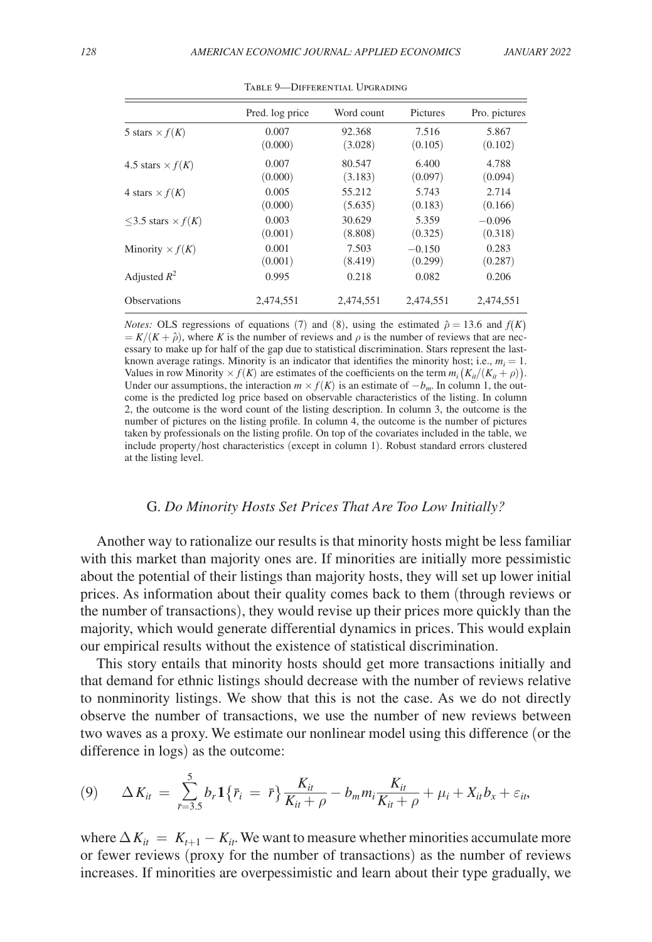|                               | Pred. log price | Word count | Pictures  | Pro. pictures |
|-------------------------------|-----------------|------------|-----------|---------------|
| 5 stars $\times$ $f(K)$       | 0.007           | 92.368     | 7.516     | 5.867         |
|                               | (0.000)         | (3.028)    | (0.105)   | (0.102)       |
| 4.5 stars $\times$ $f(K)$     | 0.007           | 80.547     | 6.400     | 4.788         |
|                               | (0.000)         | (3.183)    | (0.097)   | (0.094)       |
| 4 stars $\times$ $f(K)$       | 0.005           | 55.212     | 5.743     | 2.714         |
|                               | (0.000)         | (5.635)    | (0.183)   | (0.166)       |
| $<$ 3.5 stars $\times$ $f(K)$ | 0.003           | 30.629     | 5.359     | $-0.096$      |
|                               | (0.001)         | (8.808)    | (0.325)   | (0.318)       |
| Minority $\times f(K)$        | 0.001           | 7.503      | $-0.150$  | 0.283         |
|                               | (0.001)         | (8.419)    | (0.299)   | (0.287)       |
| Adjusted $R^2$                | 0.995           | 0.218      | 0.082     | 0.206         |
| <b>Observations</b>           | 2.474.551       | 2.474.551  | 2.474.551 | 2.474.551     |

Table 9—Differential Upgrading

*Notes:* OLS regressions of equations (7) and (8), using the estimated  $\hat{\rho} = 13.6$  and  $f(K)$  $= K/(K + \hat{\rho})$ , where *K* is the number of reviews and  $\rho$  is the number of reviews that are necessary to make up for half of the gap due to statistical discrimination. Stars represent the lastknown average ratings. Minority is an indicator that identifies the minority host; i.e.,  $m_i = 1$ . Values in row Minority  $\times f(K)$  are estimates of the coefficients on the term  $m_i(K_{ii}/(K_{ii} + \rho))$ . Under our assumptions, the interaction  $m \times f(K)$  is an estimate of  $-b_m$ . In column 1, the outcome is the predicted log price based on observable characteristics of the listing. In column 2, the outcome is the word count of the listing description. In column 3, the outcome is the number of pictures on the listing profile. In column 4, the outcome is the number of pictures taken by professionals on the listing profile. On top of the covariates included in the table, we include property/host characteristics (except in column 1). Robust standard errors clustered at the listing level.

## G. *Do Minority Hosts Set Prices That Are Too Low Initially?*

Another way to rationalize our results is that minority hosts might be less familiar with this market than majority ones are. If minorities are initially more pessimistic about the potential of their listings than majority hosts, they will set up lower initial prices. As information about their quality comes back to them (through reviews or the number of transactions), they would revise up their prices more quickly than the majority, which would generate differential dynamics in prices. This would explain our empirical results without the existence of statistical discrimination.

This story entails that minority hosts should get more transactions initially and that demand for ethnic listings should decrease with the number of reviews relative to nonminority listings. We show that this is not the case. As we do not directly observe the number of transactions, we use the number of new reviews between difference in logs) as the outcome:

two waves as a proxy. We estimate our nonlinear model using this difference (or the difference in logs) as the outcome:  
\n(9) 
$$
\Delta K_{it} = \sum_{r=3.5}^{5} b_r \mathbf{1} \{ \bar{r}_i = \bar{r} \} \frac{K_{it}}{K_{it} + \rho} - b_m m_i \frac{K_{it}}{K_{it} + \rho} + \mu_i + X_{it} b_x + \varepsilon_{it},
$$

where  $\Delta K_{it} = K_{t+1} - K_{it}$ . We want to measure whether minorities accumulate more or fewer reviews (proxy for the number of transactions) as the number of reviews increases. If minorities are overpessimistic and learn about their type gradually, we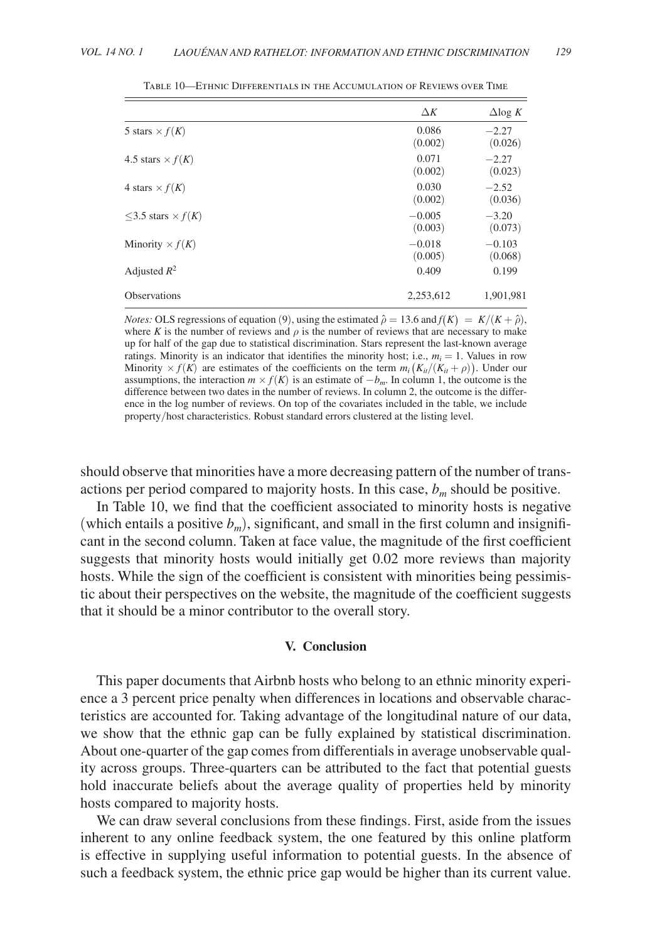|                               | $\Delta K$          | $\Delta$ log K      |
|-------------------------------|---------------------|---------------------|
| 5 stars $\times$ $f(K)$       | 0.086<br>(0.002)    | $-2.27$<br>(0.026)  |
| 4.5 stars $\times$ $f(K)$     | 0.071<br>(0.002)    | $-2.27$<br>(0.023)  |
| 4 stars $\times$ $f(K)$       | 0.030<br>(0.002)    | $-2.52$<br>(0.036)  |
| $<$ 3.5 stars $\times$ $f(K)$ | $-0.005$<br>(0.003) | $-3.20$<br>(0.073)  |
| Minority $\times f(K)$        | $-0.018$<br>(0.005) | $-0.103$<br>(0.068) |
| Adjusted $R^2$                | 0.409               | 0.199               |
| <b>Observations</b>           | 2.253.612           | 1.901.981           |

Table 10—Ethnic Differentials in the Accumulation of Reviews over Time

*Notes:* OLS regressions of equation (9), using the estimated  $\hat{\rho} = 13.6$  and  $f(K) = K/(K + \hat{\rho})$ , where *K* is the number of reviews and  $\rho$  is the number of reviews that are necessary to make up for half of the gap due to statistical discrimination. Stars represent the last-known average ratings. Minority is an indicator that identifies the minority host; i.e.,  $m_i = 1$ . Values in row Minority  $\times f(K)$  are estimates of the coefficients on the term  $m_i(K_{it}/(K_{it} + \rho))$ . Under our assumptions, the interaction  $m \times f(K)$  is an estimate of  $-b_m$ . In column 1, the outcome is the difference between two dates in the number of reviews. In column 2, the outcome is the difference in the log number of reviews. On top of the covariates included in the table, we include property/host characteristics. Robust standard errors clustered at the listing level.

should observe that minorities have a more decreasing pattern of the number of transactions per period compared to majority hosts. In this case,  $b_m$  should be positive.

In Table 10, we find that the coefficient associated to minority hosts is negative (which entails a positive  $b_m$ ), significant, and small in the first column and insignificant in the second column. Taken at face value, the magnitude of the first coefficient suggests that minority hosts would initially get 0.02 more reviews than majority hosts. While the sign of the coefficient is consistent with minorities being pessimistic about their perspectives on the website, the magnitude of the coefficient suggests that it should be a minor contributor to the overall story.

#### **V. Conclusion**

This paper documents that Airbnb hosts who belong to an ethnic minority experience a 3 percent price penalty when differences in locations and observable characteristics are accounted for. Taking advantage of the longitudinal nature of our data, we show that the ethnic gap can be fully explained by statistical discrimination. About one-quarter of the gap comes from differentials in average unobservable quality across groups. Three-quarters can be attributed to the fact that potential guests hold inaccurate beliefs about the average quality of properties held by minority hosts compared to majority hosts.

We can draw several conclusions from these findings. First, aside from the issues inherent to any online feedback system, the one featured by this online platform is effective in supplying useful information to potential guests. In the absence of such a feedback system, the ethnic price gap would be higher than its current value.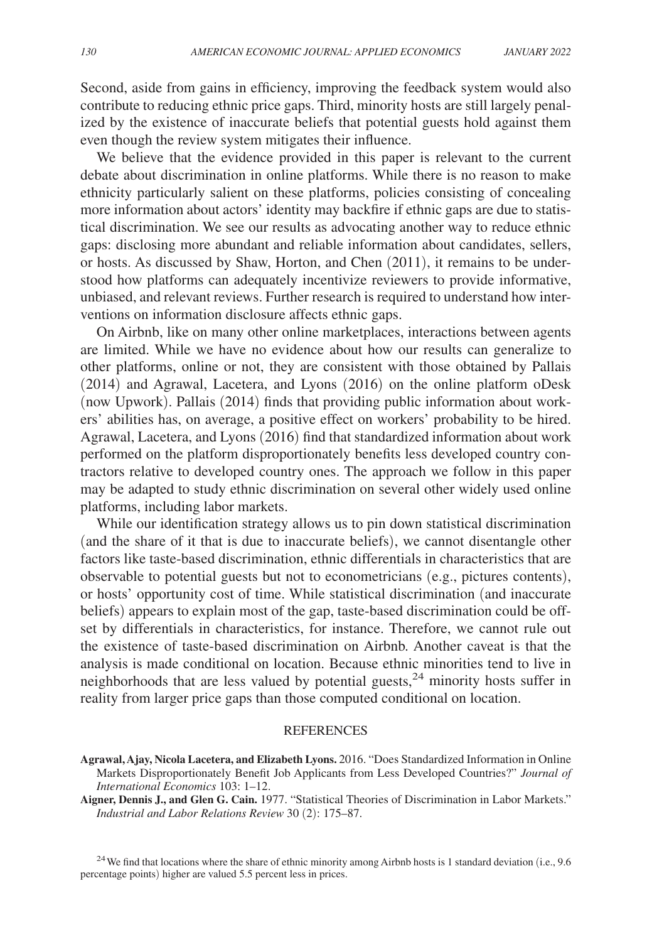Second, aside from gains in efficiency, improving the feedback system would also contribute to reducing ethnic price gaps. Third, minority hosts are still largely penalized by the existence of inaccurate beliefs that potential guests hold against them even though the review system mitigates their influence.

We believe that the evidence provided in this paper is relevant to the current debate about discrimination in online platforms. While there is no reason to make ethnicity particularly salient on these platforms, policies consisting of concealing more information about actors' identity may backfire if ethnic gaps are due to statistical discrimination. We see our results as advocating another way to reduce ethnic gaps: disclosing more abundant and reliable information about candidates, sellers, or hosts. As discussed by Shaw, Horton, and Chen (2011), it remains to be understood how platforms can adequately incentivize reviewers to provide informative, unbiased, and relevant reviews. Further research is required to understand how interventions on information disclosure affects ethnic gaps.

On Airbnb, like on many other online marketplaces, interactions between agents are limited. While we have no evidence about how our results can generalize to other platforms, online or not, they are consistent with those obtained by Pallais (2014) and Agrawal, Lacetera, and Lyons (2016) on the online platform oDesk (now Upwork). Pallais (2014) finds that providing public information about workers' abilities has, on average, a positive effect on workers' probability to be hired. Agrawal, Lacetera, and Lyons (2016) find that standardized information about work performed on the platform disproportionately benefits less developed country contractors relative to developed country ones. The approach we follow in this paper may be adapted to study ethnic discrimination on several other widely used online platforms, including labor markets.

While our identification strategy allows us to pin down statistical discrimination (and the share of it that is due to inaccurate beliefs), we cannot disentangle other factors like taste-based discrimination, ethnic differentials in characteristics that are observable to potential guests but not to econometricians (e.g., pictures contents), or hosts' opportunity cost of time. While statistical discrimination (and inaccurate beliefs) appears to explain most of the gap, taste-based discrimination could be offset by differentials in characteristics, for instance. Therefore, we cannot rule out the existence of taste-based discrimination on Airbnb. Another caveat is that the analysis is made conditional on location. Because ethnic minorities tend to live in neighborhoods that are less valued by potential guests,<sup>24</sup> minority hosts suffer in reality from larger price gaps than those computed conditional on location.

#### REFERENCES

**Aigner, Dennis J., and Glen G. Cain.** 1977. "Statistical Theories of Discrimination in Labor Markets." *Industrial and Labor Relations Review* 30 (2): 175–87.

<sup>24</sup> We find that locations where the share of ethnic minority among Airbnb hosts is 1 standard deviation (i.e., 9.6) percentage points) higher are valued 5.5 percent less in prices.

**Agrawal, Ajay, Nicola Lacetera, and Elizabeth Lyons.** 2016. "Does Standardized Information in Online Markets Disproportionately Benefit Job Applicants from Less Developed Countries?" *Journal of International Economics* 103: 1–12.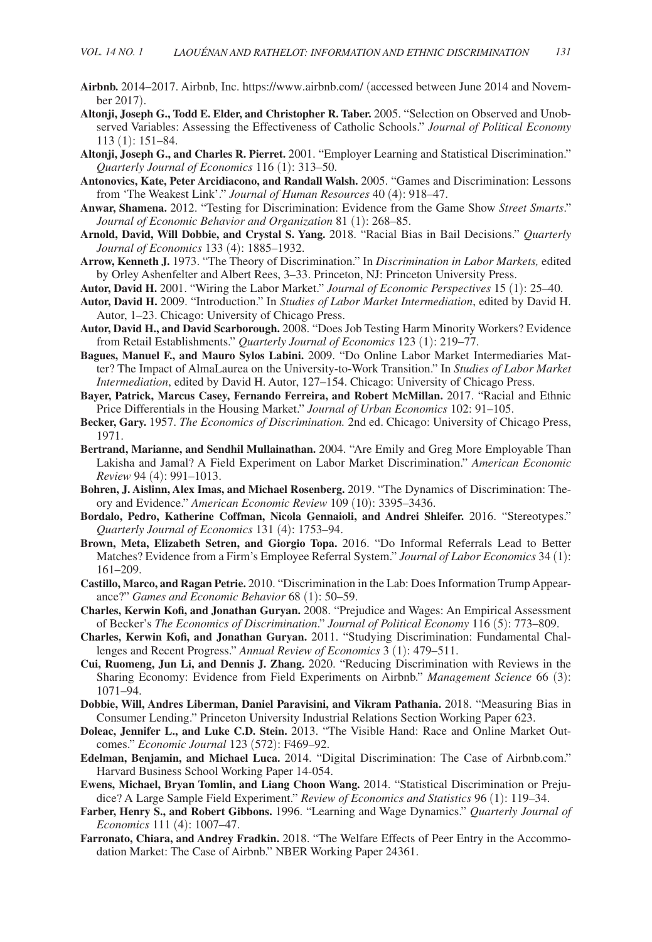- **Airbnb.** 2014–2017. Airbnb, Inc. https://www.airbnb.com/ (accessed between June 2014 and November 2017).
- **Altonji, Joseph G., Todd E. Elder, and Christopher R. Taber.** 2005. "Selection on Observed and Unobserved Variables: Assessing the Effectiveness of Catholic Schools." *Journal of Political Economy* 113 (1): 151–84.
- **Altonji, Joseph G., and Charles R. Pierret.** 2001. "Employer Learning and Statistical Discrimination." *Quarterly Journal of Economics* 116 (1): 313–50.
- **Antonovics, Kate, Peter Arcidiacono, and Randall Walsh.** 2005. "Games and Discrimination: Lessons from 'The Weakest Link'." *Journal of Human Resources* 40 (4): 918–47.
- **Anwar, Shamena.** 2012. "Testing for Discrimination: Evidence from the Game Show *Street Smarts*." *Journal of Economic Behavior and Organization* 81 (1): 268–85.
- **Arnold, David, Will Dobbie, and Crystal S. Yang.** 2018. "Racial Bias in Bail Decisions." *Quarterly Journal of Economics* 133 (4): 1885–1932.
- **Arrow, Kenneth J.** 1973. "The Theory of Discrimination." In *Discrimination in Labor Markets,* edited by Orley Ashenfelter and Albert Rees, 3–33. Princeton, NJ: Princeton University Press.
- **Autor, David H.** 2001. "Wiring the Labor Market." *Journal of Economic Perspectives* 15 (1): 25–40.
- **Autor, David H.** 2009. "Introduction." In *Studies of Labor Market Intermediation*, edited by David H. Autor, 1–23. Chicago: University of Chicago Press.
- **Autor, David H., and David Scarborough.** 2008. "Does Job Testing Harm Minority Workers? Evidence from Retail Establishments." *Quarterly Journal of Economics* 123 (1): 219–77.
- **Bagues, Manuel F., and Mauro Sylos Labini.** 2009. "Do Online Labor Market Intermediaries Matter? The Impact of AlmaLaurea on the University-to-Work Transition." In *Studies of Labor Market Intermediation*, edited by David H. Autor, 127–154. Chicago: University of Chicago Press.
- **Bayer, Patrick, Marcus Casey, Fernando Ferreira, and Robert McMillan.** 2017. "Racial and Ethnic Price Differentials in the Housing Market." *Journal of Urban Economics* 102: 91–105.
- **Becker, Gary.** 1957. *The Economics of Discrimination.* 2nd ed. Chicago: University of Chicago Press, 1971.
- **Bertrand, Marianne, and Sendhil Mullainathan.** 2004. "Are Emily and Greg More Employable Than Lakisha and Jamal? A Field Experiment on Labor Market Discrimination." *American Economic Review* 94 (4): 991–1013.
- **Bohren, J. Aislinn, Alex Imas, and Michael Rosenberg.** 2019. "The Dynamics of Discrimination: Theory and Evidence." *American Economic Review* 109 (10): 3395–3436.
- **Bordalo, Pedro, Katherine Coffman, Nicola Gennaioli, and Andrei Shleifer.** 2016. "Stereotypes." *Quarterly Journal of Economics* 131 (4): 1753–94.
- **Brown, Meta, Elizabeth Setren, and Giorgio Topa.** 2016. "Do Informal Referrals Lead to Better Matches? Evidence from a Firm's Employee Referral System." *Journal of Labor Economics* 34 (1): 161–209.
- **Castillo, Marco, and Ragan Petrie.** 2010. "Discrimination in the Lab: Does Information Trump Appearance?" *Games and Economic Behavior* 68 (1): 50–59.
- **Charles, Kerwin Kofi, and Jonathan Guryan.** 2008. "Prejudice and Wages: An Empirical Assessment of Becker's *The Economics of Discrimination*." *Journal of Political Economy* 116 (5): 773–809.
- **Charles, Kerwin Kofi, and Jonathan Guryan.** 2011. "Studying Discrimination: Fundamental Challenges and Recent Progress." *Annual Review of Economics* 3 (1): 479–511.
- **Cui, Ruomeng, Jun Li, and Dennis J. Zhang.** 2020. "Reducing Discrimination with Reviews in the Sharing Economy: Evidence from Field Experiments on Airbnb." *Management Science* 66 (3): 1071–94.
- **Dobbie, Will, Andres Liberman, Daniel Paravisini, and Vikram Pathania.** 2018. "Measuring Bias in Consumer Lending." Princeton University Industrial Relations Section Working Paper 623.
- **Doleac, Jennifer L., and Luke C.D. Stein.** 2013. "The Visible Hand: Race and Online Market Outcomes." *Economic Journal* 123 (572): F469–92.
- **Edelman, Benjamin, and Michael Luca.** 2014. "Digital Discrimination: The Case of Airbnb.com." Harvard Business School Working Paper 14-054.
- **Ewens, Michael, Bryan Tomlin, and Liang Choon Wang.** 2014. "Statistical Discrimination or Prejudice? A Large Sample Field Experiment." *Review of Economics and Statistics* 96 (1): 119–34.
- **Farber, Henry S., and Robert Gibbons.** 1996. "Learning and Wage Dynamics." *Quarterly Journal of Economics* 111 (4): 1007–47.
- **Farronato, Chiara, and Andrey Fradkin.** 2018. "The Welfare Effects of Peer Entry in the Accommodation Market: The Case of Airbnb." NBER Working Paper 24361.